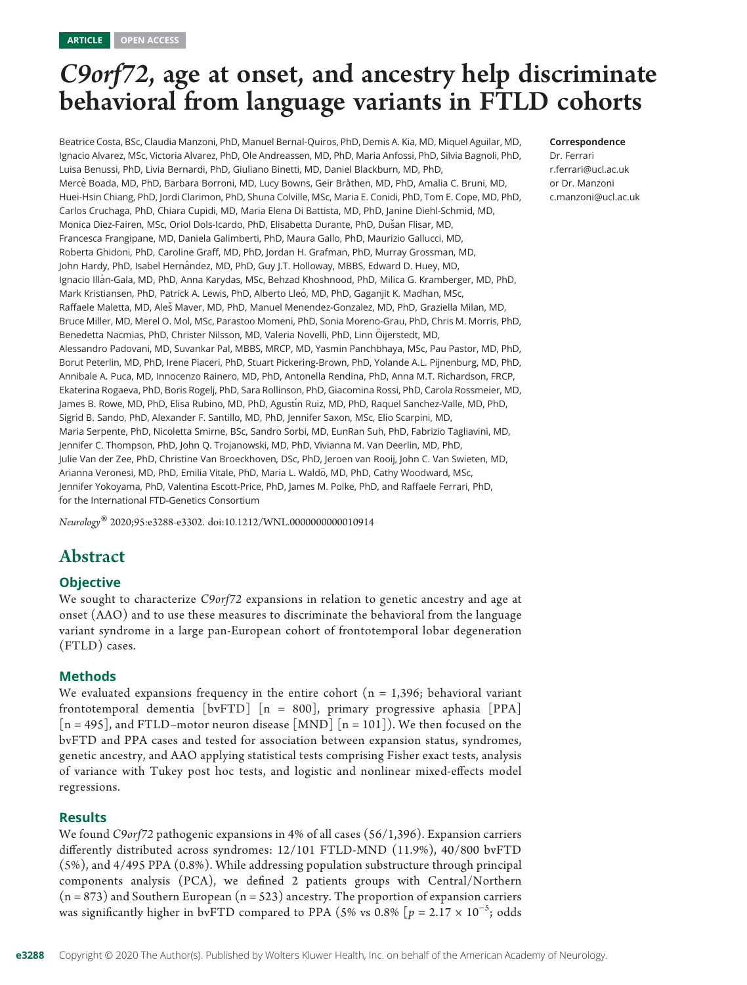# C9orf72, age at onset, and ancestry help discriminate behavioral from language variants in FTLD cohorts

Beatrice Costa, BSc, Claudia Manzoni, PhD, Manuel Bernal-Quiros, PhD, Demis A. Kia, MD, Miquel Aguilar, MD, Ignacio Alvarez, MSc, Victoria Alvarez, PhD, Ole Andreassen, MD, PhD, Maria Anfossi, PhD, Silvia Bagnoli, PhD, Luisa Benussi, PhD, Livia Bernardi, PhD, Giuliano Binetti, MD, Daniel Blackburn, MD, PhD, Mercè Boada, MD, PhD, Barbara Borroni, MD, Lucy Bowns, Geir Bråthen, MD, PhD, Amalia C. Bruni, MD, Huei-Hsin Chiang, PhD, Jordi Clarimon, PhD, Shuna Colville, MSc, Maria E. Conidi, PhD, Tom E. Cope, MD, PhD, Carlos Cruchaga, PhD, Chiara Cupidi, MD, Maria Elena Di Battista, MD, PhD, Janine Diehl-Schmid, MD, Monica Diez-Fairen, MSc, Oriol Dols-Icardo, PhD, Elisabetta Durante, PhD, Dušan Flisar, MD, Francesca Frangipane, MD, Daniela Galimberti, PhD, Maura Gallo, PhD, Maurizio Gallucci, MD, Roberta Ghidoni, PhD, Caroline Graff, MD, PhD, Jordan H. Grafman, PhD, Murray Grossman, MD, John Hardy, PhD, Isabel Hernández, MD, PhD, Guy J.T. Holloway, MBBS, Edward D. Huey, MD, Ignacio Ill´an-Gala, MD, PhD, Anna Karydas, MSc, Behzad Khoshnood, PhD, Milica G. Kramberger, MD, PhD, Mark Kristiansen, PhD, Patrick A. Lewis, PhD, Alberto Lleó, MD, PhD, Gaganjit K. Madhan, MSc, Raffaele Maletta, MD, Aleˇs Maver, MD, PhD, Manuel Menendez-Gonzalez, MD, PhD, Graziella Milan, MD, Bruce Miller, MD, Merel O. Mol, MSc, Parastoo Momeni, PhD, Sonia Moreno-Grau, PhD, Chris M. Morris, PhD, Benedetta Nacmias, PhD, Christer Nilsson, MD, Valeria Novelli, PhD, Linn Oijerstedt, MD, ¨ Alessandro Padovani, MD, Suvankar Pal, MBBS, MRCP, MD, Yasmin Panchbhaya, MSc, Pau Pastor, MD, PhD, Borut Peterlin, MD, PhD, Irene Piaceri, PhD, Stuart Pickering-Brown, PhD, Yolande A.L. Pijnenburg, MD, PhD, Annibale A. Puca, MD, Innocenzo Rainero, MD, PhD, Antonella Rendina, PhD, Anna M.T. Richardson, FRCP, Ekaterina Rogaeva, PhD, Boris Rogelj, PhD, Sara Rollinson, PhD, Giacomina Rossi, PhD, Carola Rossmeier, MD, James B. Rowe, MD, PhD, Elisa Rubino, MD, PhD, Agustín Ruiz, MD, PhD, Raquel Sanchez-Valle, MD, PhD, Sigrid B. Sando, PhD, Alexander F. Santillo, MD, PhD, Jennifer Saxon, MSc, Elio Scarpini, MD, Maria Serpente, PhD, Nicoletta Smirne, BSc, Sandro Sorbi, MD, EunRan Suh, PhD, Fabrizio Tagliavini, MD, Jennifer C. Thompson, PhD, John Q. Trojanowski, MD, PhD, Vivianna M. Van Deerlin, MD, PhD, Julie Van der Zee, PhD, Christine Van Broeckhoven, DSc, PhD, Jeroen van Rooij, John C. Van Swieten, MD, Arianna Veronesi, MD, PhD, Emilia Vitale, PhD, Maria L. Waldö, MD, PhD, Cathy Woodward, MSc, Jennifer Yokoyama, PhD, Valentina Escott-Price, PhD, James M. Polke, PhD, and Raffaele Ferrari, PhD, for the International FTD-Genetics Consortium

Neurology® 2020;95:e3288-e3302. doi[:10.1212/WNL.0000000000010914](http://dx.doi.org/10.1212/WNL.0000000000010914)

# Abstract

# **Objective**

We sought to characterize C9orf72 expansions in relation to genetic ancestry and age at onset (AAO) and to use these measures to discriminate the behavioral from the language variant syndrome in a large pan-European cohort of frontotemporal lobar degeneration (FTLD) cases.

# Methods

We evaluated expansions frequency in the entire cohort  $(n = 1,396)$ ; behavioral variant frontotemporal dementia [bvFTD] [n = 800], primary progressive aphasia [PPA]  $[n = 495]$ , and FTLD–motor neuron disease  $[MND]$   $[n = 101]$ ). We then focused on the bvFTD and PPA cases and tested for association between expansion status, syndromes, genetic ancestry, and AAO applying statistical tests comprising Fisher exact tests, analysis of variance with Tukey post hoc tests, and logistic and nonlinear mixed-effects model regressions.

#### **Results**

We found C9orf72 pathogenic expansions in 4% of all cases  $(56/1,396)$ . Expansion carriers differently distributed across syndromes: 12/101 FTLD-MND (11.9%), 40/800 bvFTD (5%), and 4/495 PPA (0.8%). While addressing population substructure through principal components analysis (PCA), we defined 2 patients groups with Central/Northern  $(n = 873)$  and Southern European  $(n = 523)$  ancestry. The proportion of expansion carriers was significantly higher in bvFTD compared to PPA (5% vs 0.8% [ $p = 2.17 \times 10^{-5}$ ; odds

Correspondence

Dr. Ferrari [r.ferrari@ucl.ac.uk](mailto:r.ferrari@ucl.ac.uk) or Dr. Manzoni [c.manzoni@ucl.ac.uk](mailto:c.manzoni@ucl.ac.uk)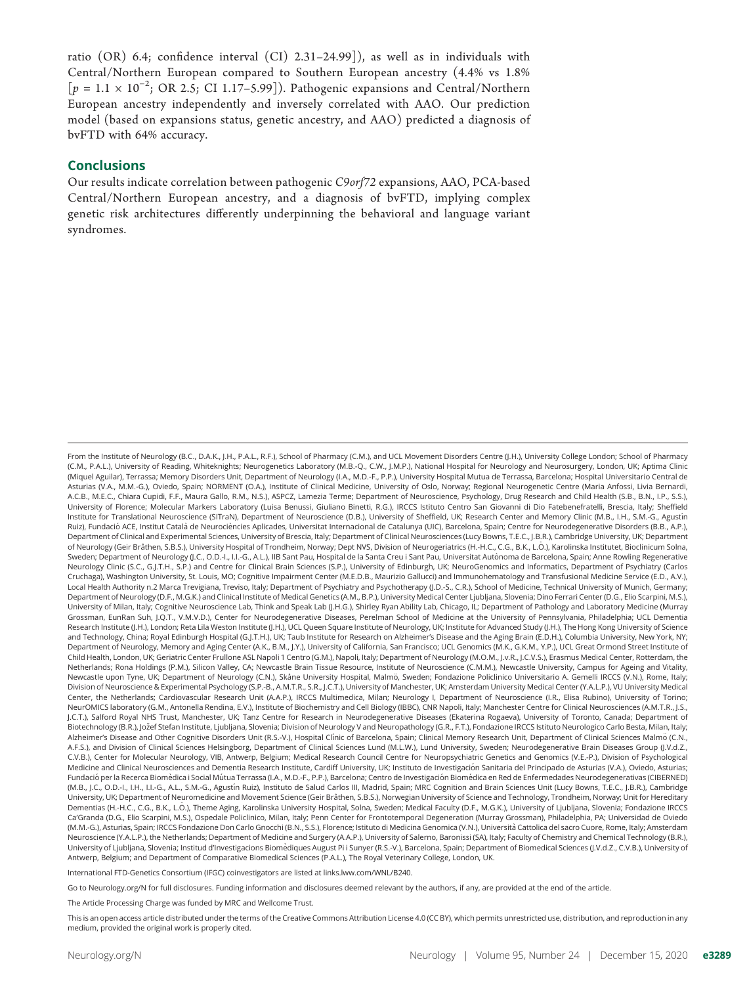ratio (OR) 6.4; confidence interval (CI) 2.31–24.99]), as well as in individuals with Central/Northern European compared to Southern European ancestry (4.4% vs 1.8% [p = 1.1 × 10−<sup>2</sup> ; OR 2.5; CI 1.17–5.99]). Pathogenic expansions and Central/Northern European ancestry independently and inversely correlated with AAO. Our prediction model (based on expansions status, genetic ancestry, and AAO) predicted a diagnosis of bvFTD with 64% accuracy.

#### **Conclusions**

Our results indicate correlation between pathogenic C9orf72 expansions, AAO, PCA-based Central/Northern European ancestry, and a diagnosis of bvFTD, implying complex genetic risk architectures differently underpinning the behavioral and language variant syndromes.

From the Institute of Neurology (B.C., D.A.K., J.H., P.A.L., R.F.), School of Pharmacy (C.M.), and UCL Movement Disorders Centre (J.H.), University College London; School of Pharmacy (C.M., P.A.L.), University of Reading, Whiteknights; Neurogenetics Laboratory (M.B.-Q., C.W., J.M.P.), National Hospital for Neurology and Neurosurgery, London, UK; Aptima Clinic (Miquel Aguilar), Terrassa; Memory Disorders Unit, Department of Neurology (I.A., M.D.-F., P.P.), University Hospital Mutua de Terrassa, Barcelona; Hospital Universitario Central de Asturias (V.A., M.M.-G.), Oviedo, Spain; NORMENT (O.A.), Institute of Clinical Medicine, University of Oslo, Norway; Regional Neurogenetic Centre (Maria Anfossi, Livia Bernardi, A.C.B., M.E.C., Chiara Cupidi, F.F., Maura Gallo, R.M., N.S.), ASPCZ, Lamezia Terme; Department of Neuroscience, Psychology, Drug Research and Child Health (S.B., B.N., I.P., S.S.), University of Florence; Molecular Markers Laboratory (Luisa Benussi, Giuliano Binetti, R.G.), IRCCS Istituto Centro San Giovanni di Dio Fatebenefratelli, Brescia, Italy; Sheffield Institute for Translational Neuroscience (SITraN), Department of Neuroscience (D.B.), University of Sheffield, UK; Research Center and Memory Clinic (M.B., I.H., S.M.-G., Agustín Ruiz), Fundació ACE, Institut Català de Neurociències Aplicades, Universitat Internacional de Catalunya (UIC), Barcelona, Spain; Centre for Neurodegenerative Disorders (B.B., A.P.), Department of Clinical and Experimental Sciences, University of Brescia, Italy; Department of Clinical Neurosciences (Lucy Bowns, T.E.C., J.B.R.), Cambridge University, UK; Department of Neurology (Geir Bråthen, S.B.S.), University Hospital of Trondheim, Norway; Dept NVS, Division of Neurogeriatrics (H.-H.C., C.G., B.K., L.O.), Karolinska Institutet, Bioclinicum Solna, ¨ Sweden; Department of Neurology (J.C., O.D.-I., I.I.-G., A.L.), IIB Sant Pau, Hospital de la Santa Creu i Sant Pau, Universitat Autònoma de Barcelona, Spain; Anne Rowling Regenerative Neurology Clinic (S.C., G.J.T.H., S.P.) and Centre for Clinical Brain Sciences (S.P.), University of Edinburgh, UK; NeuroGenomics and Informatics, Department of Psychiatry (Carlos Cruchaga), Washington University, St. Louis, MO; Cognitive Impairment Center (M.E.D.B., Maurizio Gallucci) and Immunohematology and Transfusional Medicine Service (E.D., A.V.), Local Health Authority n.2 Marca Trevigiana, Treviso, Italy; Department of Psychiatry and Psychotherapy (J.D.-S., C.R.), School of Medicine, Technical University of Munich, Germany; Department of Neurology (D.F., M.G.K.) and Clinical Institute of Medical Genetics (A.M., B.P.), University Medical Center Ljubljana, Slovenia; Dino Ferrari Center (D.G., Elio Scarpini, M.S.), University of Milan, Italy; Cognitive Neuroscience Lab, Think and Speak Lab (J.H.G.), Shirley Ryan Ability Lab, Chicago, IL; Department of Pathology and Laboratory Medicine (Murray Grossman, EunRan Suh, J.Q.T., V.M.V.D.), Center for Neurodegenerative Diseases, Perelman School of Medicine at the University of Pennsylvania, Philadelphia; UCL Dementia Research Institute (J.H.), London; Reta Lila Weston Institute (J.H.), UCL Queen Square Institute of Neurology, UK; Institute for Advanced Study (J.H.), The Hong Kong University of Science and Technology, China; Royal Edinburgh Hospital (G.J.T.H.), UK; Taub Institute for Research on Alzheimer's Disease and the Aging Brain (E.D.H.), Columbia University, New York, NY; Department of Neurology, Memory and Aging Center (A.K., B.M., J.Y.), University of California, San Francisco; UCL Genomics (M.K., G.K.M., Y.P.), UCL Great Ormond Street Institute of Child Health, London, UK; Geriatric Center Frullone ASL Napoli 1 Centro (G.M.), Napoli, Italy; Department of Neurology (M.O.M., J.v.R., J.C.V.S.), Erasmus Medical Center, Rotterdam, the Netherlands; Rona Holdings (P.M.), Silicon Valley, CA; Newcastle Brain Tissue Resource, Institute of Neuroscience (C.M.M.), Newcastle University, Campus for Ageing and Vitality, Newcastle upon Tyne, UK; Department of Neurology (C.N.), Skåne University Hospital, Malmö, Sweden; Fondazione Policlinico Universitario A. Gemelli IRCCS (V.N.), Rome, Italy; Division of Neuroscience & Experimental Psychology (S.P.-B., A.M.T.R., S.R., J.C.T.), University of Manchester, UK; Amsterdam University Medical Center (Y.A.L.P.), VU University Medical Center, the Netherlands; Cardiovascular Research Unit (A.A.P.), IRCCS Multimedica, Milan; Neurology I, Department of Neuroscience (I.R., Elisa Rubino), University of Torino; NeurOMICS laboratory (G.M., Antonella Rendina, E.V.), Institute of Biochemistry and Cell Biology (IBBC), CNR Napoli, Italy; Manchester Centre for Clinical Neurosciences (A.M.T.R., J.S., J.C.T.), Salford Royal NHS Trust, Manchester, UK; Tanz Centre for Research in Neurodegenerative Diseases (Ekaterina Rogaeva), University of Toronto, Canada; Department of Biotechnology (B.R.), Jožef Stefan Institute, Ljubljana, Slovenia; Division of Neurology V and Neuropathology (G.R., F.T.), Fondazione IRCCS Istituto Neurologico Carlo Besta, Milan, Italy; Alzheimer's Disease and Other Cognitive Disorders Unit (R.S.-V.), Hospital Clínic of Barcelona, Spain; Clinical Memory Research Unit, Department of Clinical Sciences Malmö (C.N., A.F.S.), and Division of Clinical Sciences Helsingborg, Department of Clinical Sciences Lund (M.L.W.), Lund University, Sweden; Neurodegenerative Brain Diseases Group (J.V.d.Z., C.V.B.), Center for Molecular Neurology, VIB, Antwerp, Belgium; Medical Research Council Centre for Neuropsychiatric Genetics and Genomics (V.E.-P.), Division of Psychological Medicine and Clinical Neurosciences and Dementia Research Institute, Cardiff University, UK; Instituto de Investigación Sanitaria del Principado de Asturias; (V.A.), Oviedo, Asturias; Fundació per la Recerca Biomèdica i Social Mútua Terrassa (I.A., M.D.-F., P.P.), Barcelona; Centro de Investigación Biomédica en Red de Enfermedades Neurodegenerativas (CIBERNED) (M.B., J.C., O.D.-I., I.H., I.I.-G., A.L., S.M.-G., Agust´ın Ruiz), Instituto de Salud Carlos III, Madrid, Spain; MRC Cognition and Brain Sciences Unit (Lucy Bowns, T.E.C., J.B.R.), Cambridge University, UK; Department of Neuromedicine and Movement Science (Geir Bråthen, S.B.S.), Norwegian University of Science and Technology, Trondheim, Norway; Unit for Hereditary Dementias (H.-H.C., C.G., B.K., L.O.), Theme Aging, Karolinska University Hospital, Solna, Sweden; Medical Faculty (D.F., M.G.K.), University of Ljubljana, Slovenia; Fondazione IRCCS Ca'Granda (D.G., Elio Scarpini, M.S.), Ospedale Policlinico, Milan, Italy; Penn Center for Frontotemporal Degeneration (Murray Grossman), Philadelphia, PA; Universidad de Oviedo (M.M.-G.), Asturias, Spain; IRCCS Fondazione Don Carlo Gnocchi (B.N., S.S.), Florence; Istituto di Medicina Genomica (V.N.), Università Cattolica del sacro Cuore, Rome, Italy; Amsterdam Neuroscience (Y.A.L.P.), the Netherlands; Department of Medicine and Surgery (A.A.P.), University of Salerno, Baronissi (SA), Italy; Faculty of Chemistry and Chemical Technology (B.R.), University of Ljubljana, Slovenia; Institud d'Investigacions Biomèdiques August Pi i Sunyer (R.S.-V.), Barcelona, Spain; Department of Biomedical Sciences (J.V.d.Z., C.V.B.), University of Antwerp, Belgium; and Department of Comparative Biomedical Sciences (P.A.L.), The Royal Veterinary College, London, UK.

International FTD-Genetics Consortium (IFGC) coinvestigators are listed at [links.lww.com/WNL/B240.](http://links.lww.com/WNL/B240)

Go to [Neurology.org/N](https://n.neurology.org/lookup/doi/10.1212/WNL.0000000000010914) for full disclosures. Funding information and disclosures deemed relevant by the authors, if any, are provided at the end of the article.

The Article Processing Charge was funded by MRC and Wellcome Trust.

This is an open access article distributed under the terms of the [Creative Commons Attribution License 4.0 \(CC BY\),](http://creativecommons.org/licenses/by/4.0/) which permits unrestricted use, distribution, and reproduction in any medium, provided the original work is properly cited.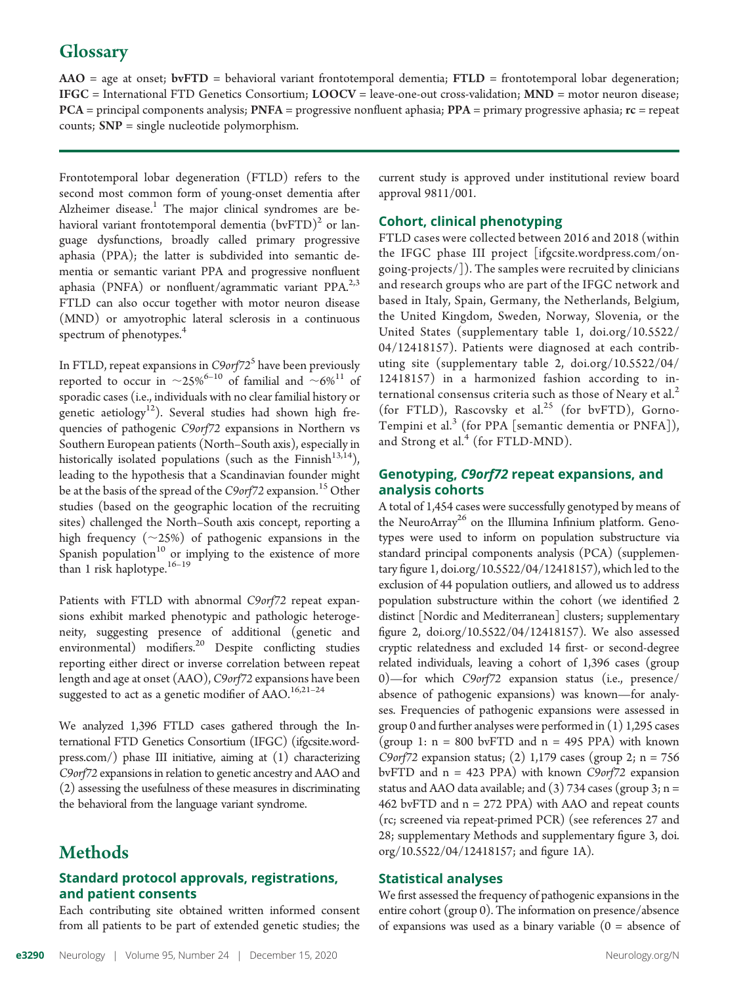# Glossary

 $AAO = age$  at onset;  $b v FTD = behavioral variant frontotemporal elementia; FTLD = frontotemporal lobar degeneration;$ IFGC = International FTD Genetics Consortium; LOOCV = leave-one-out cross-validation; MND = motor neuron disease;  $PCA$  = principal components analysis;  $PNFA$  = progressive nonfluent aphasia;  $PPA$  = primary progressive aphasia;  $rc$  = repeat counts; SNP = single nucleotide polymorphism.

Frontotemporal lobar degeneration (FTLD) refers to the second most common form of young-onset dementia after Alzheimer disease.<sup>1</sup> The major clinical syndromes are behavioral variant frontotemporal dementia  $(bvFTD)^2$  or language dysfunctions, broadly called primary progressive aphasia (PPA); the latter is subdivided into semantic dementia or semantic variant PPA and progressive nonfluent aphasia (PNFA) or nonfluent/agrammatic variant  $PPA.^{2,3}$ FTLD can also occur together with motor neuron disease (MND) or amyotrophic lateral sclerosis in a continuous spectrum of phenotypes.<sup>4</sup>

In FTLD, repeat expansions in  $C9$ orf $72<sup>5</sup>$  have been previously reported to occur in  $\sim$ 25%<sup>6–10</sup> of familial and  $\sim$ 6%<sup>11</sup> of sporadic cases (i.e., individuals with no clear familial history or genetic aetiology<sup>12</sup>). Several studies had shown high frequencies of pathogenic C9orf72 expansions in Northern vs Southern European patients (North–South axis), especially in historically isolated populations (such as the Finnish<sup>13,14</sup>), leading to the hypothesis that a Scandinavian founder might be at the basis of the spread of the C9orf72 expansion.<sup>15</sup> Other studies (based on the geographic location of the recruiting sites) challenged the North–South axis concept, reporting a high frequency  $(\sim 25\%)$  of pathogenic expansions in the Spanish population $10$  or implying to the existence of more than 1 risk haplotype.<sup>16-19</sup>

Patients with FTLD with abnormal C9orf72 repeat expansions exhibit marked phenotypic and pathologic heterogeneity, suggesting presence of additional (genetic and environmental) modifiers.<sup>20</sup> Despite conflicting studies reporting either direct or inverse correlation between repeat length and age at onset (AAO), C9orf72 expansions have been suggested to act as a genetic modifier of  $\text{AAO}.^{16,21-24}$ 

We analyzed 1,396 FTLD cases gathered through the International FTD Genetics Consortium (IFGC) ([ifgcsite.word](https://ifgcsite.wordpress.com/)[press.com/](https://ifgcsite.wordpress.com/)) phase III initiative, aiming at (1) characterizing C9orf72 expansions in relation to genetic ancestry and AAO and (2) assessing the usefulness of these measures in discriminating the behavioral from the language variant syndrome.

# Methods

### Standard protocol approvals, registrations, and patient consents

Each contributing site obtained written informed consent from all patients to be part of extended genetic studies; the current study is approved under institutional review board approval 9811/001.

#### Cohort, clinical phenotyping

FTLD cases were collected between 2016 and 2018 (within the IFGC phase III project [[ifgcsite.wordpress.com/on](https://ifgcsite.wordpress.com/ongoing-projects/)[going-projects/\]](https://ifgcsite.wordpress.com/ongoing-projects/)). The samples were recruited by clinicians and research groups who are part of the IFGC network and based in Italy, Spain, Germany, the Netherlands, Belgium, the United Kingdom, Sweden, Norway, Slovenia, or the United States (supplementary table 1, [doi.org/10.5522/](https://doi.org/10.5522/04/12418157) [04/12418157\)](https://doi.org/10.5522/04/12418157). Patients were diagnosed at each contributing site (supplementary table 2, [doi.org/10.5522/04/](https://doi.org/10.5522/04/12418157) [12418157\)](https://doi.org/10.5522/04/12418157) in a harmonized fashion according to international consensus criteria such as those of Neary et al. $<sup>2</sup>$ </sup> (for FTLD), Rascovsky et al.<sup>25</sup> (for bvFTD), Gorno-Tempini et al.<sup>3</sup> (for PPA [semantic dementia or PNFA]), and Strong et al.<sup>4</sup> (for FTLD-MND).

### Genotyping, C9orf72 repeat expansions, and analysis cohorts

A total of 1,454 cases were successfully genotyped by means of the NeuroArray<sup>26</sup> on the Illumina Infinium platform. Genotypes were used to inform on population substructure via standard principal components analysis (PCA) (supplementary figure 1, [doi.org/10.5522/04/12418157](https://doi.org/10.5522/04/12418157)), which led to the exclusion of 44 population outliers, and allowed us to address population substructure within the cohort (we identified 2 distinct [Nordic and Mediterranean] clusters; supplementary figure 2, [doi.org/10.5522/04/12418157](https://doi.org/10.5522/04/12418157)). We also assessed cryptic relatedness and excluded 14 first- or second-degree related individuals, leaving a cohort of 1,396 cases (group 0)—for which C9orf72 expansion status (i.e., presence/ absence of pathogenic expansions) was known—for analyses. Frequencies of pathogenic expansions were assessed in group 0 and further analyses were performed in (1) 1,295 cases (group 1:  $n = 800$  bvFTD and  $n = 495$  PPA) with known C9orf72 expansion status; (2) 1,179 cases (group 2;  $n = 756$ bvFTD and  $n = 423$  PPA) with known C9orf72 expansion status and AAO data available; and  $(3)$  734 cases (group 3; n = 462 bvFTD and n = 272 PPA) with AAO and repeat counts (rc; screened via repeat-primed PCR) (see references 27 and 28; supplementary Methods and supplementary figure 3, [doi.](https://doi.org/10.5522/04/12418157) [org/10.5522/04/12418157;](https://doi.org/10.5522/04/12418157) and figure 1A).

# Statistical analyses

We first assessed the frequency of pathogenic expansions in the entire cohort (group 0). The information on presence/absence of expansions was used as a binary variable  $(0 = \text{absence of})$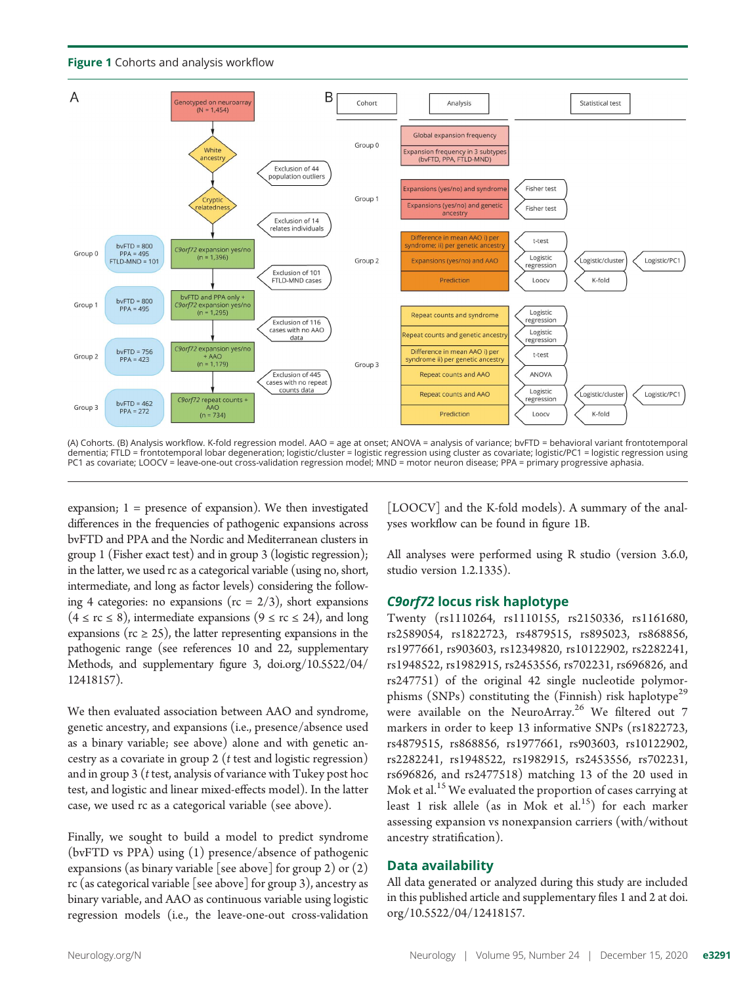



(A) Cohorts. (B) Analysis workflow. K-fold regression model. AAO = age at onset; ANOVA = analysis of variance; bvFTD = behavioral variant frontotemporal dementia; FTLD = frontotemporal lobar degeneration; logistic/cluster = logistic regression using cluster as covariate; logistic/PC1 = logistic regression using PC1 as covariate; LOOCV = leave-one-out cross-validation regression model; MND = motor neuron disease; PPA = primary progressive aphasia.

expansion;  $1 =$  presence of expansion). We then investigated differences in the frequencies of pathogenic expansions across bvFTD and PPA and the Nordic and Mediterranean clusters in group 1 (Fisher exact test) and in group 3 (logistic regression); in the latter, we used rc as a categorical variable (using no, short, intermediate, and long as factor levels) considering the following 4 categories: no expansions ( $rc = 2/3$ ), short expansions  $(4 \leq$  rc  $\leq$  8), intermediate expansions  $(9 \leq$  rc  $\leq$  24), and long expansions ( $rc \geq 25$ ), the latter representing expansions in the pathogenic range (see references 10 and 22, supplementary Methods, and supplementary figure 3, [doi.org/10.5522/04/](https://doi.org/10.5522/04/12418157) [12418157\)](https://doi.org/10.5522/04/12418157).

We then evaluated association between AAO and syndrome, genetic ancestry, and expansions (i.e., presence/absence used as a binary variable; see above) alone and with genetic ancestry as a covariate in group 2 (t test and logistic regression) and in group 3 (t test, analysis of variance with Tukey post hoc test, and logistic and linear mixed-effects model). In the latter case, we used rc as a categorical variable (see above).

Finally, we sought to build a model to predict syndrome (bvFTD vs PPA) using (1) presence/absence of pathogenic expansions (as binary variable [see above] for group 2) or  $(2)$ rc (as categorical variable [see above] for group 3), ancestry as binary variable, and AAO as continuous variable using logistic regression models (i.e., the leave-one-out cross-validation

[LOOCV] and the K-fold models). A summary of the analyses workflow can be found in figure 1B.

All analyses were performed using R studio (version 3.6.0, studio version 1.2.1335).

#### C9orf72 locus risk haplotype

Twenty (rs1110264, rs1110155, rs2150336, rs1161680, rs2589054, rs1822723, rs4879515, rs895023, rs868856, rs1977661, rs903603, rs12349820, rs10122902, rs2282241, rs1948522, rs1982915, rs2453556, rs702231, rs696826, and rs247751) of the original 42 single nucleotide polymorphisms (SNPs) constituting the (Finnish) risk haplotype<sup>29</sup> were available on the NeuroArray.<sup>26</sup> We filtered out 7 markers in order to keep 13 informative SNPs (rs1822723, rs4879515, rs868856, rs1977661, rs903603, rs10122902, rs2282241, rs1948522, rs1982915, rs2453556, rs702231, rs696826, and rs2477518) matching 13 of the 20 used in Mok et al.<sup>15</sup> We evaluated the proportion of cases carrying at least 1 risk allele (as in Mok et al.<sup>15</sup>) for each marker assessing expansion vs nonexpansion carriers (with/without ancestry stratification).

#### Data availability

All data generated or analyzed during this study are included in this published article and supplementary files 1 and 2 at [doi.](https://doi.org/10.5522/04/12418157) [org/10.5522/04/12418157](https://doi.org/10.5522/04/12418157).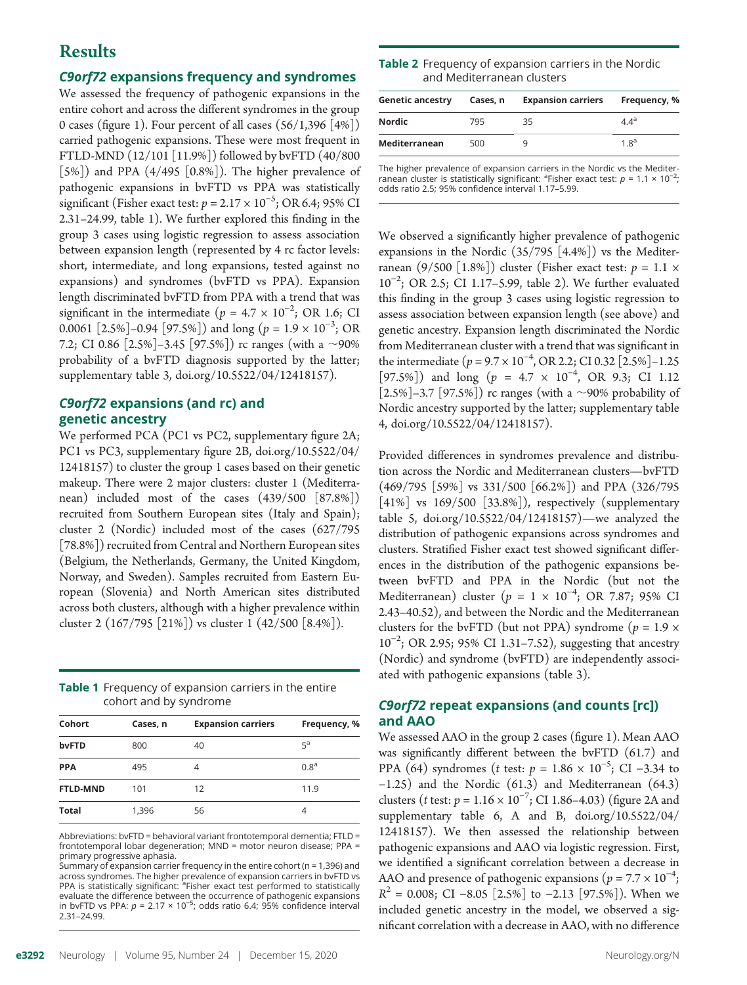# Results

#### C9orf72 expansions frequency and syndromes

We assessed the frequency of pathogenic expansions in the entire cohort and across the different syndromes in the group 0 cases (figure 1). Four percent of all cases  $(56/1,396 \; [4\%])$ carried pathogenic expansions. These were most frequent in FTLD-MND (12/101 [11.9%]) followed by bvFTD (40/800  $[5\%]$ ) and PPA  $(4/495 \ [0.8\%])$ . The higher prevalence of pathogenic expansions in bvFTD vs PPA was statistically significant (Fisher exact test:  $p = 2.17 \times 10^{-5}$ ; OR 6.4; 95% CI<br>2.31–24.99, table 1). We further explored this finding in the 2.31–24.99, table 1). We further explored this finding in the group 3 cases using logistic regression to assess association between expansion length (represented by 4 rc factor levels: short, intermediate, and long expansions, tested against no expansions) and syndromes (bvFTD vs PPA). Expansion length discriminated bvFTD from PPA with a trend that was significant in the intermediate  $(p = 4.7 \times 10^{-2})$ ; OR 1.6; CI<br>0.0061 [2.5%] = 0.94 [97.5%]) and long  $(p = 1.9 \times 10^{-3})$ . OR 0.0061 [2.5%]–0.94 [97.5%]) and long  $(p = 1.9 \times 10^{-3})$ ; OR<br>7.2: CI 0.86 [2.5%]–3.45 [97.5%]) rs ranges (with a  $\approx 90\%$ 7.2; CI 0.86 [2.5%]–3.45 [97.5%]) rc ranges (with a  $\sim$ 90% probability of a bvFTD diagnosis supported by the latter; supplementary table 3, [doi.org/10.5522/04/12418157\)](https://doi.org/10.5522/04/12418157).

#### C9orf72 expansions (and rc) and genetic ancestry

We performed PCA (PC1 vs PC2, supplementary figure 2A; PC1 vs PC3, supplementary figure 2B, [doi.org/10.5522/04/](https://doi.org/10.5522/04/12418157) [12418157](https://doi.org/10.5522/04/12418157)) to cluster the group 1 cases based on their genetic makeup. There were 2 major clusters: cluster 1 (Mediterranean) included most of the cases (439/500 [87.8%]) recruited from Southern European sites (Italy and Spain); cluster 2 (Nordic) included most of the cases (627/795 [78.8%]) recruited from Central and Northern European sites (Belgium, the Netherlands, Germany, the United Kingdom, Norway, and Sweden). Samples recruited from Eastern European (Slovenia) and North American sites distributed across both clusters, although with a higher prevalence within cluster 2 (167/795 [21%]) vs cluster 1 (42/500 [8.4%]).

| Table 1 Frequency of expansion carriers in the entire |
|-------------------------------------------------------|
| cohort and by syndrome                                |

| Cohort          | Cases, n | <b>Expansion carriers</b> | Frequency, %     |
|-----------------|----------|---------------------------|------------------|
| bvFTD           | 800      | 40                        | $5^a$            |
| <b>PPA</b>      | 495      | 4                         | 0.8 <sup>a</sup> |
| <b>FTLD-MND</b> | 101      | 12                        | 11.9             |
| <b>Total</b>    | 1.396    | 56                        | 4                |

Abbreviations: bvFTD = behavioral variant frontotemporal dementia; FTLD = frontotemporal lobar degeneration; MND = motor neuron disease; PPA = primary progressive aphasia.

Summary of expansion carrier frequency in the entire cohort (n = 1,396) and across syndromes. The higher prevalence of expansion carriers in bvFTD vs<br>PPA is statistically significant: <sup>a</sup>Fisher exact test performed to statistically evaluate the difference between the occurrence of pathogenic expansions in bvFTD vs PPA:  $p = 2.17 \times 10^{-5}$ ; odds ratio 6.4; 95% confidence interval 2.31–24.99.

| <b>Genetic ancestry</b> | Cases, n | <b>Expansion carriers</b> | Frequency, %     |
|-------------------------|----------|---------------------------|------------------|
| Nordic                  | 795      | 35                        | 4.4 <sup>a</sup> |
| Mediterranean           | 500      |                           | 1.8 <sup>a</sup> |

The higher prevalence of expansion carriers in the Nordic vs the Mediterranean cluster is statistically significant: <sup>a</sup>Fisher exact test:  $p = 1.1 \times 10^{-2}$ ; odds ratio 2.5; 95% confidence interval 1.17–5.99.

We observed a significantly higher prevalence of pathogenic expansions in the Nordic (35/795 [4.4%]) vs the Mediterranean (9/500 [1.8%]) cluster (Fisher exact test:  $p = 1.1 \times$ 10<sup>-2</sup>; OR 2.5; CI 1.17-5.99, table 2). We further evaluated this finding in the group 3 cases using logistic regression to assess association between expansion length (see above) and genetic ancestry. Expansion length discriminated the Nordic from Mediterranean cluster with a trend that was significant in the intermediate  $(p = 9.7 \times 10^{-4}, \text{OR } 2.2; \text{CI } 0.32 [2.5\%]-1.25$ <br>[97.5%]) and long  $(p = 4.7 \times 10^{-4} \text{ OR } 9.3; \text{ CI } 1.12)$ [97.5%]) and long (p = 4.7 × 10<sup>-4</sup>, OR 9.3; CI 1.12 [2.5%]–3.7 [97.5%]) rc ranges (with a  $\sim$ 90% probability of Nordic ancestry supported by the latter; supplementary table 4, [doi.org/10.5522/04/12418157](https://doi.org/10.5522/04/12418157)).

Provided differences in syndromes prevalence and distribution across the Nordic and Mediterranean clusters—bvFTD (469/795 [59%] vs 331/500 [66.2%]) and PPA (326/795  $[41\%]$  vs  $169/500$   $[33.8\%]$ ), respectively (supplementary table 5, [doi.org/10.5522/04/12418157\)](https://doi.org/10.5522/04/12418157)—we analyzed the distribution of pathogenic expansions across syndromes and clusters. Stratified Fisher exact test showed significant differences in the distribution of the pathogenic expansions between bvFTD and PPA in the Nordic (but not the Mediterranean) cluster  $(p = 1 \times 10^{-4})$ ; OR 7.87; 95% CI<br>2.43–40.52), and between the Nordic and the Mediterranean 2.43–40.52), and between the Nordic and the Mediterranean clusters for the bvFTD (but not PPA) syndrome ( $p = 1.9 \times$ 10<sup>-2</sup>; OR 2.95; 95% CI 1.31-7.52), suggesting that ancestry (Nordic) and syndrome (bvFTD) are independently associated with pathogenic expansions (table 3).

# C9orf72 repeat expansions (and counts [rc]) and AAO

We assessed AAO in the group 2 cases (figure 1). Mean AAO was significantly different between the bvFTD (61.7) and PPA (64) syndromes (t test:  $p = 1.86 \times 10^{-5}$ ; CI –3.34 to –1.25) and the Nordic (61.3) and Mediterranean (64.3) −1.25) and the Nordic (61.3) and Mediterranean (64.3) clusters (t test:  $p = 1.16 \times 10^{-7}$ ; CI 1.86–4.03) (figure 2A and<br>supplementary, table, 6, A, and B, doi org/10.5522/04/ supplementary table 6, A and B, [doi.org/10.5522/04/](https://doi.org/10.5522/04/12418157) [12418157](https://doi.org/10.5522/04/12418157)). We then assessed the relationship between pathogenic expansions and AAO via logistic regression. First, we identified a significant correlation between a decrease in AAO and presence of pathogenic expansions  $(p = 7.7 \times 10^{-4};$ <br> $R^2 = 0.008$ . CL =8.05. [2.5%] to =2.13. [97.5%]). When we  $R^2 = 0.008$ ; CI –8.05 [2.5%] to –2.13 [97.5%]). When we included genetic ancestry in the model, we observed a significant correlation with a decrease in AAO, with no difference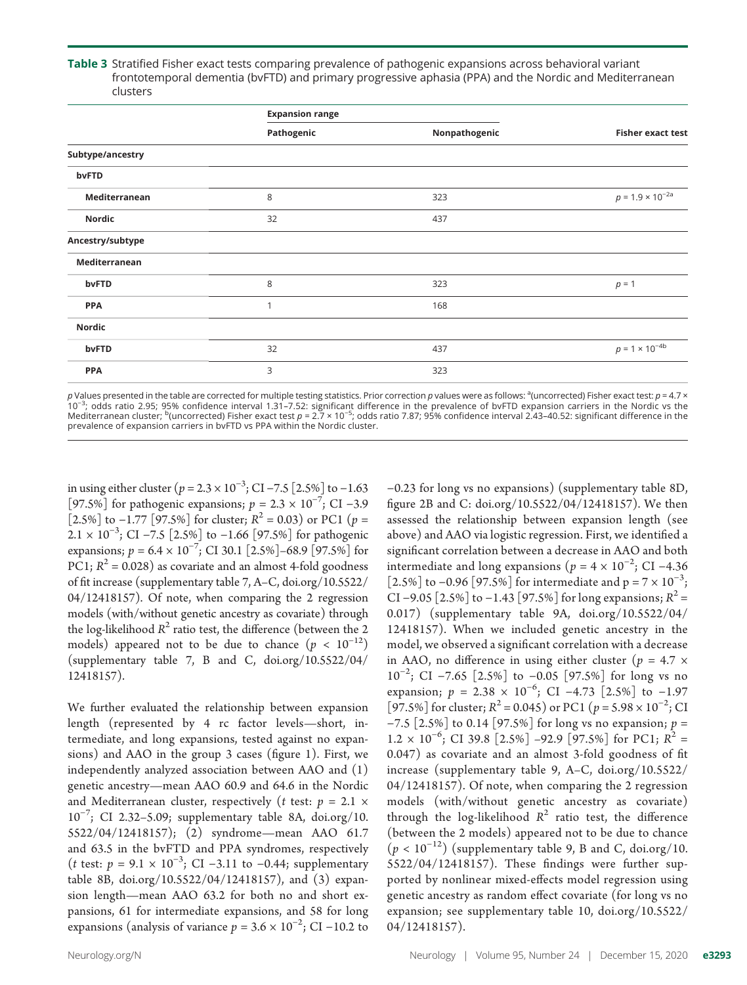Table 3 Stratified Fisher exact tests comparing prevalence of pathogenic expansions across behavioral variant frontotemporal dementia (bvFTD) and primary progressive aphasia (PPA) and the Nordic and Mediterranean clusters

|                  | <b>Expansion range</b> |               |                               |
|------------------|------------------------|---------------|-------------------------------|
|                  | Pathogenic             | Nonpathogenic | <b>Fisher exact test</b>      |
| Subtype/ancestry |                        |               |                               |
| bvFTD            |                        |               |                               |
| Mediterranean    | 8                      | 323           | $p$ = 1.9 $\times$ $10^{-2a}$ |
| <b>Nordic</b>    | 32                     | 437           |                               |
| Ancestry/subtype |                        |               |                               |
| Mediterranean    |                        |               |                               |
| bvFTD            | 8                      | 323           | $p = 1$                       |
| <b>PPA</b>       | $\mathbf{1}$           | 168           |                               |
| Nordic           |                        |               |                               |
| bvFTD            | 32                     | 437           | $p$ = 1 $\times$ $10^{-4b}$   |
| <b>PPA</b>       | 3                      | 323           |                               |

p Values presented in the table are corrected for multiple testing statistics. Prior correction p values were as follows: <sup>a</sup>(uncorrected) Fisher exact test: p = 4.7 × 10<sup>–3</sup>; odds ratio 2.95; 95% confidence interval 1.31–7.52: significant difference in the prevalence of bvFTD expansion carriers in the Nordic vs the<br>Mediterranean cluster; <sup>b</sup>(uncorrected) Fisher exact test p = 2.7 × 10<sup>–</sup> prevalence of expansion carriers in bvFTD vs PPA within the Nordic cluster.

in using either cluster  $(p = 2.3 \times 10^{-3})$ ; CI –7.5 [2.5%] to –1.63<br>[97.5%] for pathogenic expansions: n = 2.3 × 10<sup>-7</sup>; CI –3.9 [97.5%] for pathogenic expansions;  $p = 2.3 \times 10^{-7}$ ; CI –3.9<br>[2.5%] to –1.77 [97.5%] for cluster:  $R^2$  – 0.03) or PC1 (n – [2.5%] to  $-1.77$  [97.5%] for cluster;  $R^2 = 0.03$ ) or PC1 (p = 2.1 × 10−<sup>3</sup> ; CI −7.5 [2.5%] to −1.66 [97.5%] for pathogenic expansions;  $p = 6.4 \times 10^{-7}$ ; CI 30.1 [2.5%]–68.9 [97.5%] for PC1;  $R^2$  = 0.028) as covariate and an almost 4-fold goodness of fit increase (supplementary table 7, A–C, [doi.org/10.5522/](https://doi.org/10.5522/04/12418157) [04/12418157](https://doi.org/10.5522/04/12418157)). Of note, when comparing the 2 regression models (with/without genetic ancestry as covariate) through the log-likelihood  $R^2$  ratio test, the difference (between the 2 models) appeared not to be due to chance  $(p < 10^{-12})$ (supplementary table 7, B and C, [doi.org/10.5522/04/](https://doi.org/10.5522/04/12418157) [12418157\)](https://doi.org/10.5522/04/12418157).

We further evaluated the relationship between expansion length (represented by 4 rc factor levels—short, intermediate, and long expansions, tested against no expansions) and AAO in the group 3 cases (figure 1). First, we independently analyzed association between AAO and (1) genetic ancestry—mean AAO 60.9 and 64.6 in the Nordic and Mediterranean cluster, respectively (*t* test:  $p = 2.1 \times$ 10−<sup>7</sup> ; CI 2.32–5.09; supplementary table 8A, [doi.org/10.](https://doi.org/10.5522/04/12418157) [5522/04/12418157](https://doi.org/10.5522/04/12418157)); (2) syndrome—mean AAO 61.7 and 63.5 in the bvFTD and PPA syndromes, respectively (t test:  $p = 9.1 \times 10^{-3}$ ; CI –3.11 to –0.44; supplementary<br>table 8B, doi org/10.5522/04/12418157) and (3) expantable 8B, [doi.org/10.5522/04/12418157\)](https://doi.org/10.5522/04/12418157), and (3) expansion length—mean AAO 63.2 for both no and short expansions, 61 for intermediate expansions, and 58 for long expansions (analysis of variance  $p = 3.6 \times 10^{-2}$ ; CI –10.2 to

−0.23 for long vs no expansions) (supplementary table 8D, figure 2B and C: [doi.org/10.5522/04/12418157\)](https://doi.org/10.5522/04/12418157). We then assessed the relationship between expansion length (see above) and AAO via logistic regression. First, we identified a significant correlation between a decrease in AAO and both intermediate and long expansions ( $p = 4 \times 10^{-2}$ ; CI –4.36<br>[2.5%] to –0.96 [97.5%] for intermediate and  $p = 7 \times 10^{-3}$ . [2.5%] to –0.96 [97.5%] for intermediate and p =  $7 \times 10^{-3}$ ; CI –9.05 [2.5%] to –1.43 [97.5%] for long expansions;  $R^2$  = 0.017) (supplementary table 9A, [doi.org/10.5522/04/](https://doi.org/10.5522/04/12418157) [12418157\)](https://doi.org/10.5522/04/12418157). When we included genetic ancestry in the model, we observed a significant correlation with a decrease in AAO, no difference in using either cluster ( $p = 4.7 \times$ 10−<sup>2</sup> ; CI −7.65 [2.5%] to −0.05 [97.5%] for long vs no expansion;  $p = 2.38 \times 10^{-6}$ ; CI –4.73 [2.5%] to –1.97<br>[97.5%] for cluster:  $R^2$  – 0.045) or PC1 (n – 5.98 × 10<sup>-2</sup>; CI [97.5%] for cluster;  $R^2 = 0.045$ ) or PC1 ( $p = 5.98 \times 10^{-2}$ ; CI<br>-7.5 [2.5%] to 0.14 [97.5%] for long vs. no expansion:  $n =$ <sup>−</sup>7.5 [2.5%] to 0.14 [97.5%] for long vs no expansion; p <sup>=</sup>  $1.2 \times 10^{-6}$ ; CI 39.8 [2.5%] –92.9 [97.5%] for PC1;  $R^2 = 0.047$ ) as covariate and an almost 3-fold goodness of fit 0.047) as covariate and an almost 3-fold goodness of fit increase (supplementary table 9, A–C, [doi.org/10.5522/](https://doi.org/10.5522/04/12418157) [04/12418157\)](https://doi.org/10.5522/04/12418157). Of note, when comparing the 2 regression models (with/without genetic ancestry as covariate) through the log-likelihood  $R^2$  ratio test, the difference (between the 2 models) appeared not to be due to chance  $(p < 10^{-12})$  (supplementary table 9, B and C, [doi.org/10.](https://doi.org/10.5522/04/12418157) [5522/04/12418157\)](https://doi.org/10.5522/04/12418157). These findings were further supported by nonlinear mixed-effects model regression using genetic ancestry as random effect covariate (for long vs no expansion; see supplementary table 10, [doi.org/10.5522/](https://doi.org/10.5522/04/12418157) [04/12418157\)](https://doi.org/10.5522/04/12418157).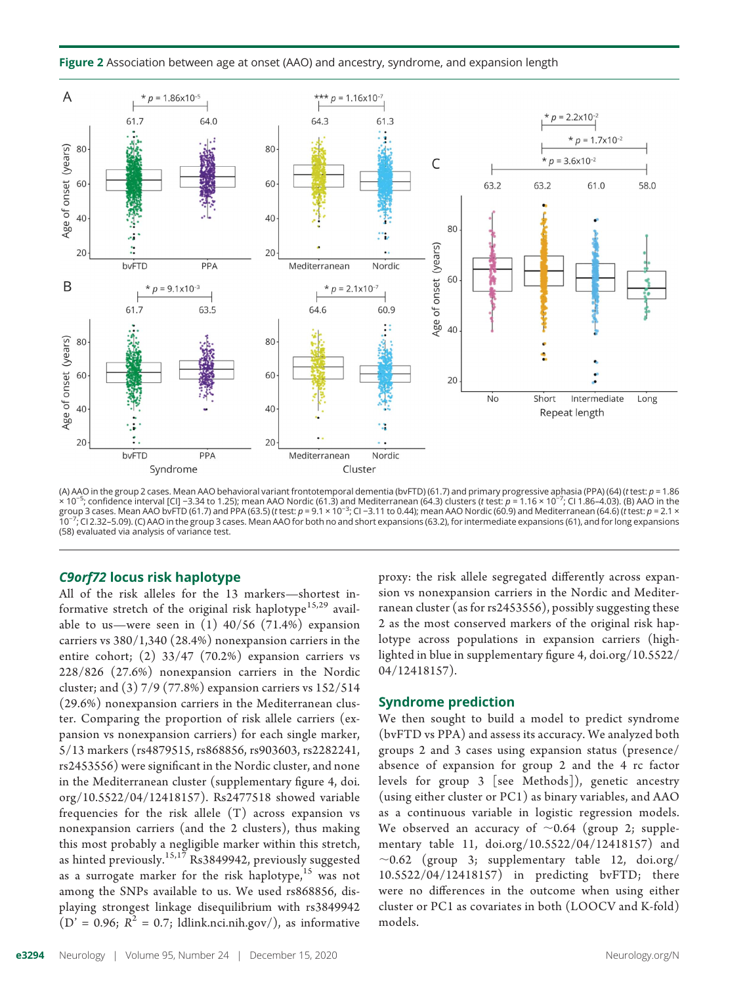



(A) AAO in the group 2 cases. Mean AAO behavioral variant frontotemporal dementia (bvFTD) (61.7) and primary progressive aphasia (PPA) (64) (t test: p = 1.86 × 10−<sup>5</sup> ; confidence interval [CI] −3.34 to 1.25); mean AAO Nordic (61.3) and Mediterranean (64.3) clusters (t test: p = 1.16 × 10−<sup>7</sup> ; CI 1.86–4.03). (B) AAO in the group 3 cases. Mean AAO bvFTD (61.7) and PPA (63.5) (t test:  $p$  = 9.1 × 10<sup>-3</sup>; Cl −3.11 to 0.44); mean AAO Nordic (60.9) and Mediterranean (64.6) (t test:  $p$  = 2.1 ×<br>10<sup>-7</sup>; Cl 2.32–5.09). (C) AAO in the group 3 cases. (58) evaluated via analysis of variance test.

#### C9orf72 locus risk haplotype

All of the risk alleles for the 13 markers—shortest informative stretch of the original risk haplotype<sup>15,29</sup> available to us—were seen in  $(1)$  40/56  $(71.4%)$  expansion carriers vs 380/1,340 (28.4%) nonexpansion carriers in the entire cohort; (2) 33/47 (70.2%) expansion carriers vs 228/826 (27.6%) nonexpansion carriers in the Nordic cluster; and (3) 7/9 (77.8%) expansion carriers vs 152/514 (29.6%) nonexpansion carriers in the Mediterranean cluster. Comparing the proportion of risk allele carriers (expansion vs nonexpansion carriers) for each single marker, 5/13 markers (rs4879515, rs868856, rs903603, rs2282241, rs2453556) were significant in the Nordic cluster, and none in the Mediterranean cluster (supplementary figure 4, [doi.](https://doi.org/10.5522/04/12418157) [org/10.5522/04/12418157](https://doi.org/10.5522/04/12418157)). Rs2477518 showed variable frequencies for the risk allele (T) across expansion vs nonexpansion carriers (and the 2 clusters), thus making this most probably a negligible marker within this stretch, as hinted previously.<sup>15,17</sup> Rs3849942, previously suggested as a surrogate marker for the risk haplotype,  $15$  was not among the SNPs available to us. We used rs868856, displaying strongest linkage disequilibrium with rs3849942  $(D' = 0.96; R<sup>2</sup> = 0.7; Idlink.nci.nih.gov/),$  as informative proxy: the risk allele segregated differently across expansion vs nonexpansion carriers in the Nordic and Mediterranean cluster (as for rs2453556), possibly suggesting these 2 as the most conserved markers of the original risk haplotype across populations in expansion carriers (highlighted in blue in supplementary figure 4, [doi.org/10.5522/](https://doi.org/10.5522/04/12418157) [04/12418157\)](https://doi.org/10.5522/04/12418157).

#### Syndrome prediction

We then sought to build a model to predict syndrome (bvFTD vs PPA) and assess its accuracy. We analyzed both groups 2 and 3 cases using expansion status (presence/ absence of expansion for group 2 and the 4 rc factor levels for group 3 [see Methods]), genetic ancestry (using either cluster or PC1) as binary variables, and AAO as a continuous variable in logistic regression models. We observed an accuracy of  $\sim 0.64$  (group 2; supplementary table 11, [doi.org/10.5522/04/12418157\)](https://doi.org/10.5522/04/12418157) and  $\sim$ 0.62 (group 3; supplementary table 12, [doi.org/](https://doi.org/10.5522/04/12418157) [10.5522/04/12418157\)](https://doi.org/10.5522/04/12418157) in predicting bvFTD; there were no differences in the outcome when using either cluster or PC1 as covariates in both (LOOCV and K-fold) models.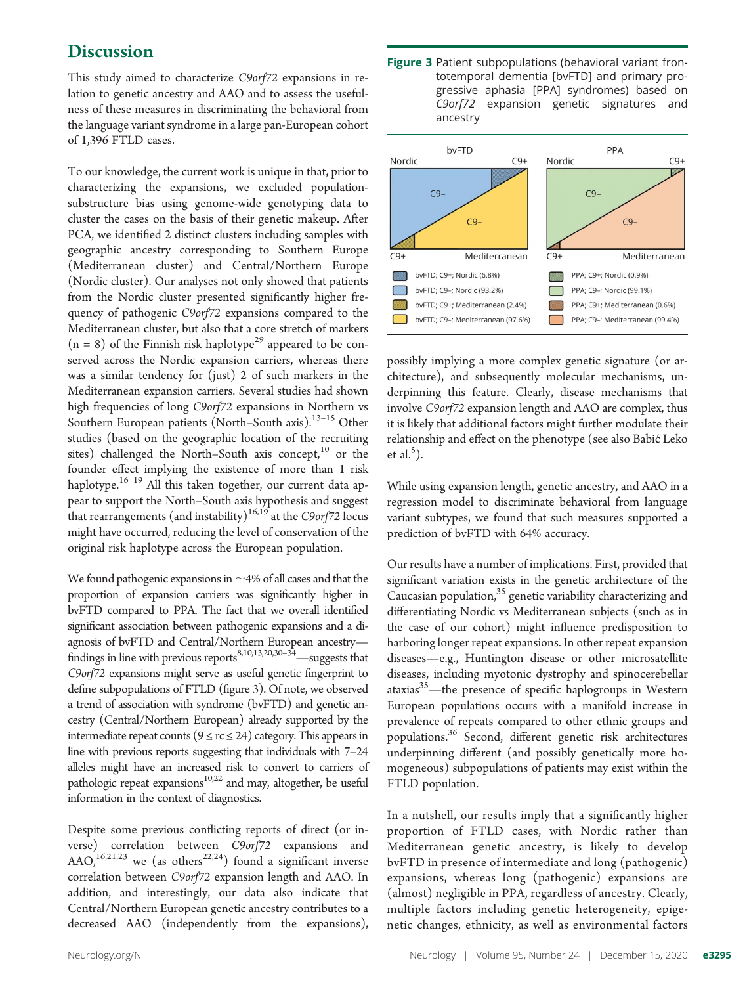# **Discussion**

This study aimed to characterize C9orf72 expansions in relation to genetic ancestry and AAO and to assess the usefulness of these measures in discriminating the behavioral from the language variant syndrome in a large pan-European cohort of 1,396 FTLD cases.

To our knowledge, the current work is unique in that, prior to characterizing the expansions, we excluded populationsubstructure bias using genome-wide genotyping data to cluster the cases on the basis of their genetic makeup. After PCA, we identified 2 distinct clusters including samples with geographic ancestry corresponding to Southern Europe (Mediterranean cluster) and Central/Northern Europe (Nordic cluster). Our analyses not only showed that patients from the Nordic cluster presented significantly higher frequency of pathogenic C9orf72 expansions compared to the Mediterranean cluster, but also that a core stretch of markers  $(n = 8)$  of the Finnish risk haplotype<sup>29</sup> appeared to be conserved across the Nordic expansion carriers, whereas there was a similar tendency for (just) 2 of such markers in the Mediterranean expansion carriers. Several studies had shown high frequencies of long C9orf72 expansions in Northern vs Southern European patients (North–South axis). $13-15$  Other studies (based on the geographic location of the recruiting sites) challenged the North–South axis concept, $10$  or the founder effect implying the existence of more than 1 risk haplotype.<sup>16–19</sup> All this taken together, our current data appear to support the North–South axis hypothesis and suggest that rearrangements (and instability)<sup>16,19</sup> at the C9orf72 locus might have occurred, reducing the level of conservation of the original risk haplotype across the European population.

We found pathogenic expansions in  $\sim$ 4% of all cases and that the proportion of expansion carriers was significantly higher in bvFTD compared to PPA. The fact that we overall identified significant association between pathogenic expansions and a diagnosis of bvFTD and Central/Northern European ancestry findings in line with previous reports<sup>8,10,13,20,30-34</sup>—suggests that C9orf72 expansions might serve as useful genetic fingerprint to define subpopulations of FTLD (figure 3). Of note, we observed a trend of association with syndrome (bvFTD) and genetic ancestry (Central/Northern European) already supported by the intermediate repeat counts ( $9 \leq rc \leq 24$ ) category. This appears in line with previous reports suggesting that individuals with 7–24 alleles might have an increased risk to convert to carriers of pathologic repeat expansions $10,22$  and may, altogether, be useful information in the context of diagnostics.

Despite some previous conflicting reports of direct (or inverse) correlation between C9orf72 expansions and AAO,<sup>16,21,23</sup> we (as others<sup>22,24</sup>) found a significant inverse correlation between C9orf72 expansion length and AAO. In addition, and interestingly, our data also indicate that Central/Northern European genetic ancestry contributes to a decreased AAO (independently from the expansions),



possibly implying a more complex genetic signature (or architecture), and subsequently molecular mechanisms, underpinning this feature. Clearly, disease mechanisms that involve C9orf72 expansion length and AAO are complex, thus it is likely that additional factors might further modulate their relationship and effect on the phenotype (see also Babić Leko et al. $^5$ ).

While using expansion length, genetic ancestry, and AAO in a regression model to discriminate behavioral from language variant subtypes, we found that such measures supported a prediction of bvFTD with 64% accuracy.

Our results have a number of implications. First, provided that significant variation exists in the genetic architecture of the Caucasian population,<sup>35</sup> genetic variability characterizing and differentiating Nordic vs Mediterranean subjects (such as in the case of our cohort) might influence predisposition to harboring longer repeat expansions. In other repeat expansion diseases—e.g., Huntington disease or other microsatellite diseases, including myotonic dystrophy and spinocerebellar ataxias<sup>35</sup>—the presence of specific haplogroups in Western European populations occurs with a manifold increase in prevalence of repeats compared to other ethnic groups and populations.<sup>36</sup> Second, different genetic risk architectures underpinning different (and possibly genetically more homogeneous) subpopulations of patients may exist within the FTLD population.

In a nutshell, our results imply that a significantly higher proportion of FTLD cases, with Nordic rather than Mediterranean genetic ancestry, is likely to develop bvFTD in presence of intermediate and long (pathogenic) expansions, whereas long (pathogenic) expansions are (almost) negligible in PPA, regardless of ancestry. Clearly, multiple factors including genetic heterogeneity, epigenetic changes, ethnicity, as well as environmental factors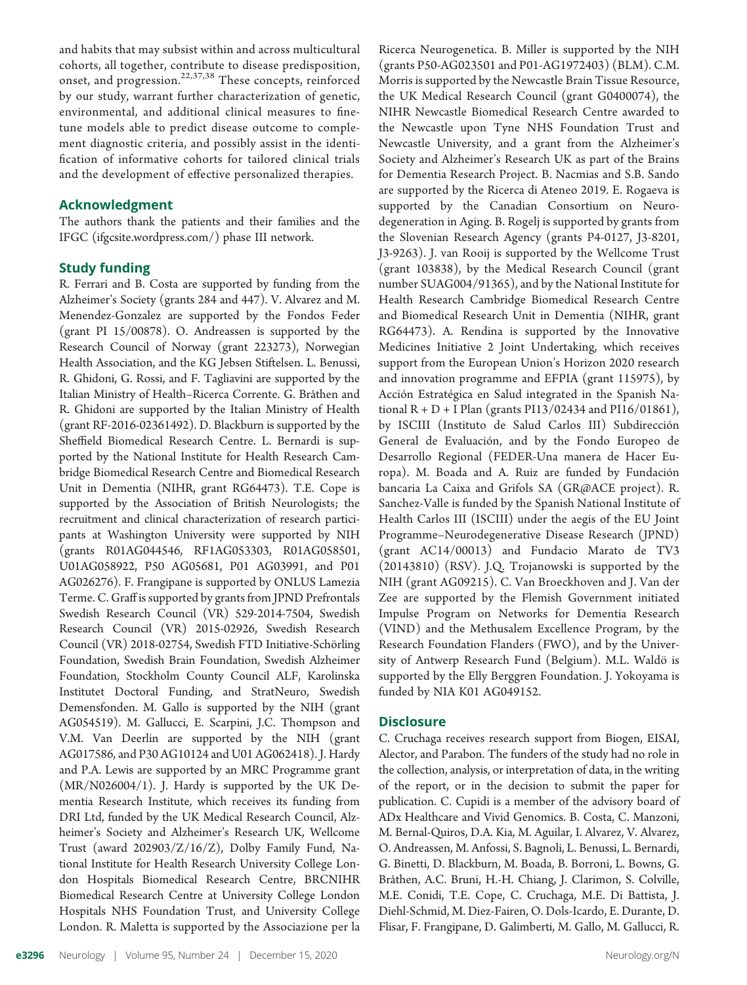and habits that may subsist within and across multicultural cohorts, all together, contribute to disease predisposition, onset, and progression.22,37,38 These concepts, reinforced by our study, warrant further characterization of genetic, environmental, and additional clinical measures to finetune models able to predict disease outcome to complement diagnostic criteria, and possibly assist in the identification of informative cohorts for tailored clinical trials and the development of effective personalized therapies.

#### Acknowledgment

The authors thank the patients and their families and the IFGC [\(ifgcsite.wordpress.com/\)](https://ifgcsite.wordpress.com/) phase III network.

# Study funding

R. Ferrari and B. Costa are supported by funding from the Alzheimer's Society (grants 284 and 447). V. Alvarez and M. Menendez-Gonzalez are supported by the Fondos Feder (grant PI 15/00878). O. Andreassen is supported by the Research Council of Norway (grant 223273), Norwegian Health Association, and the KG Jebsen Stiftelsen. L. Benussi, R. Ghidoni, G. Rossi, and F. Tagliavini are supported by the Italian Ministry of Health–Ricerca Corrente. G. Bråthen and R. Ghidoni are supported by the Italian Ministry of Health (grant RF-2016-02361492). D. Blackburn is supported by the Sheffield Biomedical Research Centre. L. Bernardi is supported by the National Institute for Health Research Cambridge Biomedical Research Centre and Biomedical Research Unit in Dementia (NIHR, grant RG64473). T.E. Cope is supported by the Association of British Neurologists; the recruitment and clinical characterization of research participants at Washington University were supported by NIH (grants R01AG044546, RF1AG053303, R01AG058501, U01AG058922, P50 AG05681, P01 AG03991, and P01 AG026276). F. Frangipane is supported by ONLUS Lamezia Terme. C. Graff is supported by grants from JPND Prefrontals Swedish Research Council (VR) 529-2014-7504, Swedish Research Council (VR) 2015-02926, Swedish Research Council (VR) 2018-02754, Swedish FTD Initiative-Schörling Foundation, Swedish Brain Foundation, Swedish Alzheimer Foundation, Stockholm County Council ALF, Karolinska Institutet Doctoral Funding, and StratNeuro, Swedish Demensfonden. M. Gallo is supported by the NIH (grant AG054519). M. Gallucci, E. Scarpini, J.C. Thompson and V.M. Van Deerlin are supported by the NIH (grant AG017586, and P30 AG10124 and U01 AG062418). J. Hardy and P.A. Lewis are supported by an MRC Programme grant (MR/N026004/1). J. Hardy is supported by the UK Dementia Research Institute, which receives its funding from DRI Ltd, funded by the UK Medical Research Council, Alzheimer's Society and Alzheimer's Research UK, Wellcome Trust (award 202903/Z/16/Z), Dolby Family Fund, National Institute for Health Research University College London Hospitals Biomedical Research Centre, BRCNIHR Biomedical Research Centre at University College London Hospitals NHS Foundation Trust, and University College London. R. Maletta is supported by the Associazione per la

e3296 Neurology | Volume 95, Number 24 | December 15, 2020 [Neurology.org/N](http://neurology.org/n) Neurology.org/N

Ricerca Neurogenetica. B. Miller is supported by the NIH (grants P50-AG023501 and P01-AG1972403) (BLM). C.M. Morris is supported by the Newcastle Brain Tissue Resource, the UK Medical Research Council (grant G0400074), the NIHR Newcastle Biomedical Research Centre awarded to the Newcastle upon Tyne NHS Foundation Trust and Newcastle University, and a grant from the Alzheimer's Society and Alzheimer's Research UK as part of the Brains for Dementia Research Project. B. Nacmias and S.B. Sando are supported by the Ricerca di Ateneo 2019. E. Rogaeva is supported by the Canadian Consortium on Neurodegeneration in Aging. B. Rogelj is supported by grants from the Slovenian Research Agency (grants P4-0127, J3-8201, J3-9263). J. van Rooij is supported by the Wellcome Trust (grant 103838), by the Medical Research Council (grant number SUAG004/91365), and by the National Institute for Health Research Cambridge Biomedical Research Centre and Biomedical Research Unit in Dementia (NIHR, grant RG64473). A. Rendina is supported by the Innovative Medicines Initiative 2 Joint Undertaking, which receives support from the European Union's Horizon 2020 research and innovation programme and EFPIA (grant 115975), by Acción Estratégica en Salud integrated in the Spanish National  $R + D + I$  Plan (grants PI13/02434 and PI16/01861), by ISCIII (Instituto de Salud Carlos III) Subdirección General de Evaluación, and by the Fondo Europeo de Desarrollo Regional (FEDER-Una manera de Hacer Europa). M. Boada and A. Ruiz are funded by Fundación bancaria La Caixa and Grifols SA (GR@ACE project). R. Sanchez-Valle is funded by the Spanish National Institute of Health Carlos III (ISCIII) under the aegis of the EU Joint Programme–Neurodegenerative Disease Research (JPND) (grant AC14/00013) and Fundacio Marato de TV3 (20143810) (RSV). J.Q. Trojanowski is supported by the NIH (grant AG09215). C. Van Broeckhoven and J. Van der Zee are supported by the Flemish Government initiated Impulse Program on Networks for Dementia Research (VIND) and the Methusalem Excellence Program, by the Research Foundation Flanders (FWO), and by the University of Antwerp Research Fund (Belgium). M.L. Waldö is supported by the Elly Berggren Foundation. J. Yokoyama is funded by NIA K01 AG049152.

# **Disclosure**

C. Cruchaga receives research support from Biogen, EISAI, Alector, and Parabon. The funders of the study had no role in the collection, analysis, or interpretation of data, in the writing of the report, or in the decision to submit the paper for publication. C. Cupidi is a member of the advisory board of ADx Healthcare and Vivid Genomics. B. Costa, C. Manzoni, M. Bernal-Quiros, D.A. Kia, M. Aguilar, I. Alvarez, V. Alvarez, O. Andreassen, M. Anfossi, S. Bagnoli, L. Benussi, L. Bernardi, G. Binetti, D. Blackburn, M. Boada, B. Borroni, L. Bowns, G. Bråthen, A.C. Bruni, H.-H. Chiang, J. Clarimon, S. Colville, M.E. Conidi, T.E. Cope, C. Cruchaga, M.E. Di Battista, J. Diehl-Schmid, M. Diez-Fairen, O. Dols-Icardo, E. Durante, D. Flisar, F. Frangipane, D. Galimberti, M. Gallo, M. Gallucci, R.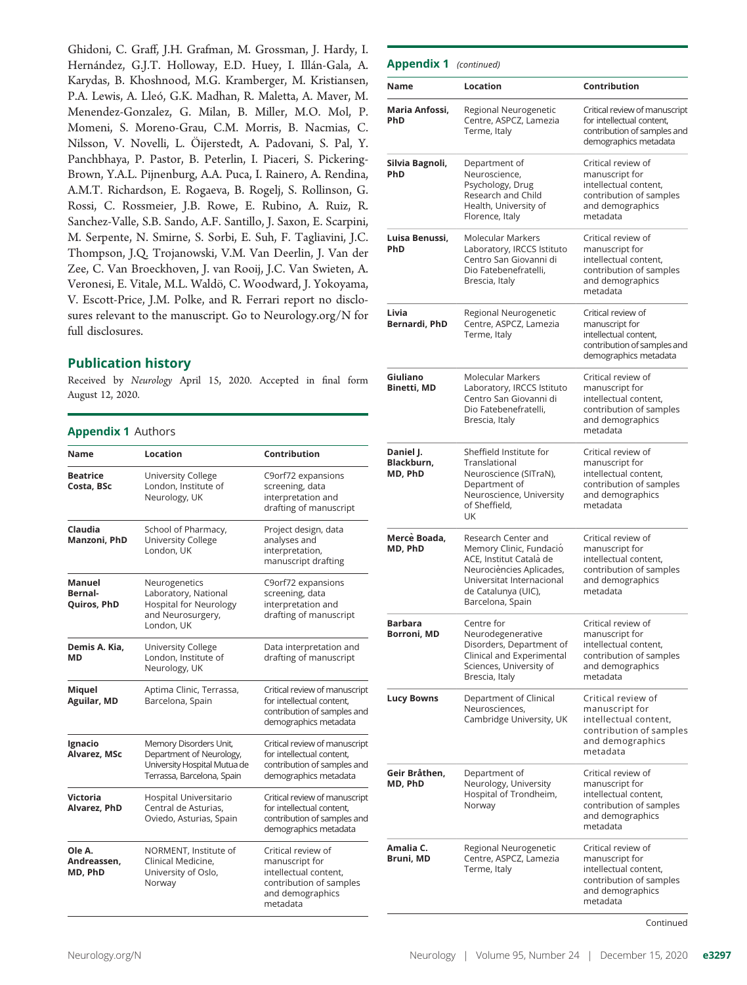Ghidoni, C. Graff, J.H. Grafman, M. Grossman, J. Hardy, I. Hernández, G.J.T. Holloway, E.D. Huey, I. Illán-Gala, A. Karydas, B. Khoshnood, M.G. Kramberger, M. Kristiansen, P.A. Lewis, A. Lleó, G.K. Madhan, R. Maletta, A. Maver, M. Menendez-Gonzalez, G. Milan, B. Miller, M.O. Mol, P. Momeni, S. Moreno-Grau, C.M. Morris, B. Nacmias, C. Nilsson, V. Novelli, L. Oijerstedt, A. Padovani, S. Pal, Y. ¨ Panchbhaya, P. Pastor, B. Peterlin, I. Piaceri, S. Pickering-Brown, Y.A.L. Pijnenburg, A.A. Puca, I. Rainero, A. Rendina, A.M.T. Richardson, E. Rogaeva, B. Rogelj, S. Rollinson, G. Rossi, C. Rossmeier, J.B. Rowe, E. Rubino, A. Ruiz, R. Sanchez-Valle, S.B. Sando, A.F. Santillo, J. Saxon, E. Scarpini, M. Serpente, N. Smirne, S. Sorbi, E. Suh, F. Tagliavini, J.C. Thompson, J.Q. Trojanowski, V.M. Van Deerlin, J. Van der Zee, C. Van Broeckhoven, J. van Rooij, J.C. Van Swieten, A. Veronesi, E. Vitale, M.L. Waldö, C. Woodward, J. Yokoyama, V. Escott-Price, J.M. Polke, and R. Ferrari report no disclosures relevant to the manuscript. Go to [Neurology.org/N](https://n.neurology.org/lookup/doi/10.1212/WNL.0000000000010914) for full disclosures.

# Publication history

Received by Neurology April 15, 2020. Accepted in final form August 12, 2020.

#### Appendix 1 Authors

| Name                             | Location                                                                                                         | Contribution                                                                                                             |
|----------------------------------|------------------------------------------------------------------------------------------------------------------|--------------------------------------------------------------------------------------------------------------------------|
| <b>Beatrice</b><br>Costa, BSc    | University College<br>London, Institute of<br>Neurology, UK                                                      | C9orf72 expansions<br>screening, data<br>interpretation and<br>drafting of manuscript                                    |
| Claudia<br>Manzoni, PhD          | School of Pharmacy,<br>University College<br>London, UK                                                          | Project design, data<br>analyses and<br>interpretation,<br>manuscript drafting                                           |
| Manuel<br>Bernal-<br>Quiros, PhD | Neurogenetics<br>Laboratory, National<br><b>Hospital for Neurology</b><br>and Neurosurgery,<br>London, UK        | C9orf72 expansions<br>screening, data<br>interpretation and<br>drafting of manuscript                                    |
| Demis A. Kia,<br>МD              | University College<br>London, Institute of<br>Neurology, UK                                                      | Data interpretation and<br>drafting of manuscript                                                                        |
| <b>Miguel</b><br>Aguilar, MD     | Aptima Clinic, Terrassa,<br>Barcelona, Spain                                                                     | Critical review of manuscript<br>for intellectual content.<br>contribution of samples and<br>demographics metadata       |
| Ignacio<br>Alvarez, MSc          | Memory Disorders Unit,<br>Department of Neurology,<br>University Hospital Mutua de<br>Terrassa, Barcelona, Spain | Critical review of manuscript<br>for intellectual content.<br>contribution of samples and<br>demographics metadata       |
| <b>Victoria</b><br>Alvarez, PhD  | Hospital Universitario<br>Central de Asturias,<br>Oviedo, Asturias, Spain                                        | Critical review of manuscript<br>for intellectual content,<br>contribution of samples and<br>demographics metadata       |
| Ole A.<br>Andreassen,<br>MD, PhD | NORMENT, Institute of<br>Clinical Medicine.<br>University of Oslo,<br>Norway                                     | Critical review of<br>manuscript for<br>intellectual content,<br>contribution of samples<br>and demographics<br>metadata |

| <b>Appendix 1</b> (continued)      |                                                                                                                                                                               |                                                                                                                          |
|------------------------------------|-------------------------------------------------------------------------------------------------------------------------------------------------------------------------------|--------------------------------------------------------------------------------------------------------------------------|
| Name                               | Location                                                                                                                                                                      | Contribution                                                                                                             |
| Maria Anfossi,<br>PhD              | Regional Neurogenetic<br>Centre, ASPCZ, Lamezia<br>Terme, Italy                                                                                                               | Critical review of manuscript<br>for intellectual content,<br>contribution of samples and<br>demographics metadata       |
| Silvia Bagnoli,<br>PhD             | Department of<br>Neuroscience,<br>Psychology, Drug<br>Research and Child<br>Health, University of<br>Florence, Italy                                                          | Critical review of<br>manuscript for<br>intellectual content,<br>contribution of samples<br>and demographics<br>metadata |
| Luisa Benussi,<br>PhD              | <b>Molecular Markers</b><br>Laboratory, IRCCS Istituto<br>Centro San Giovanni di<br>Dio Fatebenefratelli.<br>Brescia, Italy                                                   | Critical review of<br>manuscript for<br>intellectual content,<br>contribution of samples<br>and demographics<br>metadata |
| Livia<br>Bernardi, PhD             | Regional Neurogenetic<br>Centre, ASPCZ, Lamezia<br>Terme, Italy                                                                                                               | Critical review of<br>manuscript for<br>intellectual content,<br>contribution of samples and<br>demographics metadata    |
| Giuliano<br><b>Binetti, MD</b>     | <b>Molecular Markers</b><br>Laboratory, IRCCS Istituto<br>Centro San Giovanni di<br>Dio Fatebenefratelli.<br>Brescia, Italy                                                   | Critical review of<br>manuscript for<br>intellectual content,<br>contribution of samples<br>and demographics<br>metadata |
| Daniel J.<br>Blackburn,<br>MD, PhD | Sheffield Institute for<br>Translational<br>Neuroscience (SITraN),<br>Department of<br>Neuroscience, University<br>of Sheffield,<br>UK                                        | Critical review of<br>manuscript for<br>intellectual content,<br>contribution of samples<br>and demographics<br>metadata |
| Mercè Boada,<br>MD, PhD            | Research Center and<br>Memory Clinic, Fundació<br>ACE, Institut Català de<br>Neurociències Aplicades,<br>Universitat Internacional<br>de Catalunya (UIC),<br>Barcelona, Spain | Critical review of<br>manuscript for<br>intellectual content,<br>contribution of samples<br>and demographics<br>metadata |
| Barbara<br>Borroni, MD             | Centre for<br>Neurodegenerative<br>Disorders, Department of<br>Clinical and Experimental<br>Sciences, University of<br>Brescia, Italy                                         | Critical review of<br>manuscript for<br>intellectual content,<br>contribution of samples<br>and demographics<br>metadata |
| Lucy Bowns                         | Department of Clinical<br>Neurosciences,<br>Cambridge University, UK                                                                                                          | Critical review of<br>manuscript for<br>intellectual content,<br>contribution of samples<br>and demographics<br>metadata |
| Geir Bråthen,<br>MD, PhD           | Department of<br>Neurology, University<br>Hospital of Trondheim,<br>Norway                                                                                                    | Critical review of<br>manuscript for<br>intellectual content,<br>contribution of samples<br>and demographics<br>metadata |
| Amalia C.<br>Bruni, MD             | Regional Neurogenetic<br>Centre, ASPCZ, Lamezia<br>Terme, Italy                                                                                                               | Critical review of<br>manuscript for<br>intellectual content,<br>contribution of samples<br>and demographics<br>metadata |
|                                    |                                                                                                                                                                               |                                                                                                                          |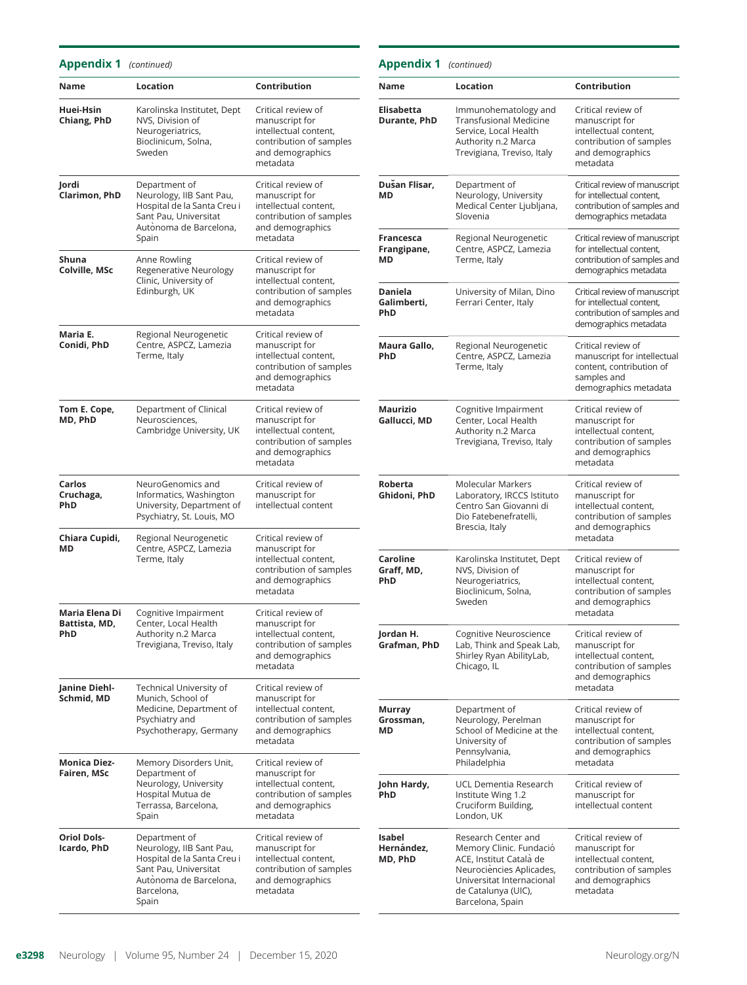### Appendix 1 (continued)

| Name                                   | Location                                                                                                                                           | Contribution                                                                                                             | Name                                    |
|----------------------------------------|----------------------------------------------------------------------------------------------------------------------------------------------------|--------------------------------------------------------------------------------------------------------------------------|-----------------------------------------|
| Huei-Hsin<br>Chiang, PhD               | Karolinska Institutet, Dept<br>NVS, Division of<br>Neurogeriatrics,<br>Bioclinicum, Solna,<br>Sweden                                               | Critical review of<br>manuscript for<br>intellectual content,<br>contribution of samples<br>and demographics<br>metadata | Elisabe<br>Durant                       |
| Jordi<br>Clarimon, PhD                 | Department of<br>Neurology, IIB Sant Pau,<br>Hospital de la Santa Creu i<br>Sant Pau, Universitat<br>Autònoma de Barcelona.<br>Spain               | Critical review of<br>manuscript for<br>intellectual content,<br>contribution of samples<br>and demographics<br>metadata | Dušan<br>MD<br>France                   |
| Shuna<br>Colville, MSc                 | Anne Rowling<br>Regenerative Neurology<br>Clinic, University of<br>Edinburgh, UK                                                                   | Critical review of<br>manuscript for<br>intellectual content,<br>contribution of samples<br>and demographics<br>metadata | Frangi<br>МD<br>Daniel<br>Galimk<br>PhD |
| Maria E.<br>Conidi, PhD                | Regional Neurogenetic<br>Centre, ASPCZ, Lamezia<br>Terme, Italy                                                                                    | Critical review of<br>manuscript for<br>intellectual content,<br>contribution of samples<br>and demographics<br>metadata | Maura<br>PhD                            |
| Tom E. Cope,<br>MD, PhD                | Department of Clinical<br>Neurosciences,<br>Cambridge University, UK                                                                               | Critical review of<br>manuscript for<br>intellectual content,<br>contribution of samples<br>and demographics<br>metadata | Mauriz<br>Gallucı                       |
| Carlos<br>Cruchaga,<br><b>PhD</b>      | NeuroGenomics and<br>Informatics, Washington<br>University, Department of<br>Psychiatry, St. Louis, MO                                             | Critical review of<br>manuscript for<br>intellectual content                                                             | Robert<br>Ghidor                        |
| Chiara Cupidi,<br>MD                   | Regional Neurogenetic<br>Centre, ASPCZ, Lamezia<br>Terme, Italy                                                                                    | Critical review of<br>manuscript for<br>intellectual content,<br>contribution of samples<br>and demographics<br>metadata | Carolir<br>Graff, l<br>PhD              |
| Maria Elena Di<br>Battista, MD,<br>PhD | Cognitive Impairment<br>Center, Local Health<br>Authority n.2 Marca<br>Trevigiana, Treviso, Italy                                                  | Critical review of<br>manuscript for<br>intellectual content,<br>contribution of samples<br>and demographics<br>metadata | lordan<br>Grafma                        |
| Janine Diehl-<br>Schmid, MD            | Technical University of<br>Munich, School of<br>Medicine, Department of<br>Psychiatry and<br>Psychotherapy, Germany                                | Critical review of<br>manuscript for<br>intellectual content,<br>contribution of samples<br>and demographics<br>metadata | Murray<br>Grossn<br>МD                  |
| <b>Monica Diez-</b><br>Fairen, MSc     | Memory Disorders Unit,<br>Department of<br>Neurology, University<br>Hospital Mutua de<br>Terrassa, Barcelona,<br>Spain                             | Critical review of<br>manuscript for<br>intellectual content,<br>contribution of samples<br>and demographics<br>metadata | John H<br>PhD                           |
| <b>Oriol Dols-</b><br>Icardo, PhD      | Department of<br>Neurology, IIB Sant Pau,<br>Hospital de la Santa Creu i<br>Sant Pau, Universitat<br>Autònoma de Barcelona,<br>Barcelona,<br>Spain | Critical review of<br>manuscript for<br>intellectual content,<br>contribution of samples<br>and demographics<br>metadata | Isabel<br>Hernár<br>MD, Ph              |

| Name                              | Location                                                                                                                                                                      | Contribution                                                                                                             |
|-----------------------------------|-------------------------------------------------------------------------------------------------------------------------------------------------------------------------------|--------------------------------------------------------------------------------------------------------------------------|
| <b>Elisabetta</b><br>Durante, PhD | Immunohematology and<br><b>Transfusional Medicine</b><br>Service, Local Health<br>Authority n.2 Marca<br>Trevigiana, Treviso, Italy                                           | Critical review of<br>manuscript for<br>intellectual content,<br>contribution of samples<br>and demographics<br>metadata |
| Dusan Flisar,<br>MD               | Department of<br>Neurology, University<br>Medical Center Ljubljana,<br>Slovenia                                                                                               | Critical review of manuscript<br>for intellectual content,<br>contribution of samples and<br>demographics metadata       |
| Francesca<br>Frangipane,<br>МD    | Regional Neurogenetic<br>Centre, ASPCZ, Lamezia<br>Terme, Italy                                                                                                               | Critical review of manuscript<br>for intellectual content,<br>contribution of samples and<br>demographics metadata       |
| Daniela<br>Galimberti,<br>PhD     | University of Milan, Dino<br>Ferrari Center, Italy                                                                                                                            | Critical review of manuscript<br>for intellectual content,<br>contribution of samples and<br>demographics metadata       |
| Maura Gallo,<br>PhD               | Regional Neurogenetic<br>Centre, ASPCZ, Lamezia<br>Terme, Italy                                                                                                               | Critical review of<br>manuscript for intellectual<br>content, contribution of<br>samples and<br>demographics metadata    |
| Maurizio<br>Gallucci, MD          | Cognitive Impairment<br>Center, Local Health<br>Authority n.2 Marca<br>Trevigiana, Treviso, Italy                                                                             | Critical review of<br>manuscript for<br>intellectual content,<br>contribution of samples<br>and demographics<br>metadata |
| Roberta<br>Ghidoni, PhD           | <b>Molecular Markers</b><br>Laboratory, IRCCS Istituto<br>Centro San Giovanni di<br>Dio Fatebenefratelli,<br>Brescia, Italy                                                   | Critical review of<br>manuscript for<br>intellectual content,<br>contribution of samples<br>and demographics<br>metadata |
| Caroline<br>Graff, MD,<br>PhD     | Karolinska Institutet, Dept<br>NVS, Division of<br>Neurogeriatrics,<br>Bioclinicum, Solna,<br>Sweden                                                                          | Critical review of<br>manuscript for<br>intellectual content,<br>contribution of samples<br>and demographics<br>metadata |
| lordan H.<br>Grafman, PhD         | Cognitive Neuroscience<br>Lab, Think and Speak Lab,<br>Shirley Ryan AbilityLab,<br>Chicago, IL                                                                                | Critical review of<br>manuscript for<br>intellectual content,<br>contribution of samples<br>and demographics<br>metadata |
| Murray<br>Grossman,<br>MD         | Department of<br>Neurology, Perelman<br>School of Medicine at the<br>University of<br>Pennsylvania,<br>Philadelphia                                                           | Critical review of<br>manuscript for<br>intellectual content,<br>contribution of samples<br>and demographics<br>metadata |
| John Hardy,<br><b>PhD</b>         | UCL Dementia Research<br>Institute Wing 1.2<br>Cruciform Building,<br>London, UK                                                                                              | Critical review of<br>manuscript for<br>intellectual content                                                             |
| Isabel<br>Hernández,<br>MD, PhD   | Research Center and<br>Memory Clinic. Fundació<br>ACE, Institut Català de<br>Neurociències Aplicades,<br>Universitat Internacional<br>de Catalunya (UIC),<br>Barcelona, Spain | Critical review of<br>manuscript for<br>intellectual content,<br>contribution of samples<br>and demographics<br>metadata |

Appendix 1 (continued)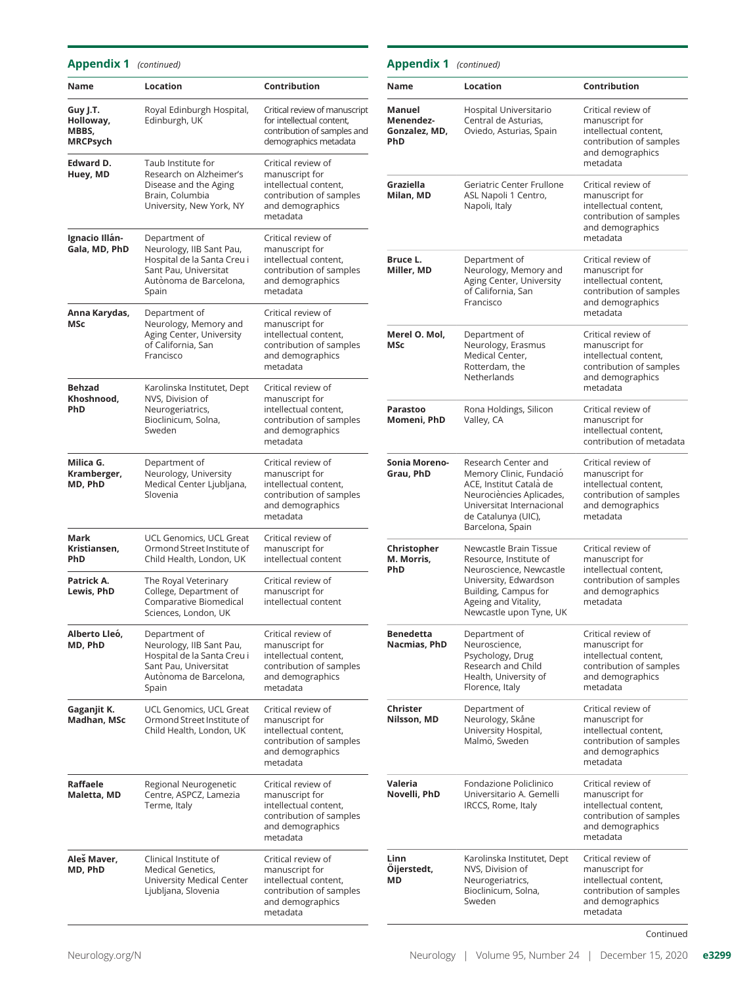Appendix 1 (continued)

| Name                                              | Location                                                                                                                             | Contribution                                                                                                             |
|---------------------------------------------------|--------------------------------------------------------------------------------------------------------------------------------------|--------------------------------------------------------------------------------------------------------------------------|
| Guy J.T.<br>Holloway,<br>MBBS,<br><b>MRCPsych</b> | Royal Edinburgh Hospital,<br>Edinburgh, UK                                                                                           | Critical review of manuscript<br>for intellectual content,<br>contribution of samples and<br>demographics metadata       |
| Edward D.<br>Huey, MD                             | Taub Institute for<br>Research on Alzheimer's<br>Disease and the Aging<br>Brain, Columbia<br>University, New York, NY                | Critical review of<br>manuscript for<br>intellectual content,<br>contribution of samples<br>and demographics<br>metadata |
| Ignacio Illán-<br>Gala, MD, PhD                   | Department of<br>Neurology, IIB Sant Pau,<br>Hospital de la Santa Creu i<br>Sant Pau, Universitat<br>Autònoma de Barcelona,<br>Spain | Critical review of<br>manuscript for<br>intellectual content,<br>contribution of samples<br>and demographics<br>metadata |
| Anna Karydas,<br>MSc                              | Department of<br>Neurology, Memory and<br>Aging Center, University<br>of California, San<br>Francisco                                | Critical review of<br>manuscript for<br>intellectual content,<br>contribution of samples<br>and demographics<br>metadata |
| <b>Behzad</b><br>Khoshnood,<br>PhD                | Karolinska Institutet, Dept<br>NVS, Division of<br>Neurogeriatrics,<br>Bioclinicum, Solna,<br>Sweden                                 | Critical review of<br>manuscript for<br>intellectual content,<br>contribution of samples<br>and demographics<br>metadata |
| Milica G.<br>Kramberger,<br>MD, PhD               | Department of<br>Neurology, University<br>Medical Center Ljubljana,<br>Slovenia                                                      | Critical review of<br>manuscript for<br>intellectual content,<br>contribution of samples<br>and demographics<br>metadata |
| Mark<br>Kristiansen,<br>PhD                       | UCL Genomics, UCL Great<br>Ormond Street Institute of<br>Child Health, London, UK                                                    | Critical review of<br>manuscript for<br>intellectual content                                                             |
| Patrick A.<br>Lewis, PhD                          | The Royal Veterinary<br>College, Department of<br>Comparative Biomedical<br>Sciences, London, UK                                     | Critical review of<br>manuscript for<br>intellectual content                                                             |
| Alberto Lleó,<br>MD, PhD                          | Department of<br>Neurology, IIB Sant Pau,<br>Hospital de la Santa Creu i<br>Sant Pau, Universitat<br>Autònoma de Barcelona,<br>Spain | Critical review of<br>manuscript for<br>intellectual content,<br>contribution of samples<br>and demographics<br>metadata |
| Gaganjit K.<br>Madhan, MSc                        | UCL Genomics, UCL Great<br>Ormond Street Institute of<br>Child Health, London, UK                                                    | Critical review of<br>manuscript for<br>intellectual content,<br>contribution of samples<br>and demographics<br>metadata |
| Raffaele<br>Maletta, MD                           | Regional Neurogenetic<br>Centre, ASPCZ, Lamezia<br>Terme, Italy                                                                      | Critical review of<br>manuscript for<br>intellectual content,<br>contribution of samples<br>and demographics<br>metadata |
| Aleš Maver,<br>MD, PhD                            | Clinical Institute of<br>Medical Genetics,<br>University Medical Center<br>Ljubljana, Slovenia                                       | Critical review of<br>manuscript for<br>intellectual content,<br>contribution of samples<br>and demographics<br>metadata |

| <b>Appendix 1</b>                           | (continued)                                                                                                                                                                     |                                                                                                                          |
|---------------------------------------------|---------------------------------------------------------------------------------------------------------------------------------------------------------------------------------|--------------------------------------------------------------------------------------------------------------------------|
| Name                                        | Location                                                                                                                                                                        | Contribution                                                                                                             |
| Manuel<br>Menendez-<br>Gonzalez, MD,<br>PhD | Hospital Universitario<br>Central de Asturias.<br>Oviedo, Asturias, Spain                                                                                                       | Critical review of<br>manuscript for<br>intellectual content,<br>contribution of samples<br>and demographics<br>metadata |
| Graziella<br>Milan, MD                      | Geriatric Center Frullone<br>ASL Napoli 1 Centro,<br>Napoli, Italy                                                                                                              | Critical review of<br>manuscript for<br>intellectual content,<br>contribution of samples<br>and demographics<br>metadata |
| Bruce L.<br>Miller, MD                      | Department of<br>Neurology, Memory and<br>Aging Center, University<br>of California, San<br>Francisco                                                                           | Critical review of<br>manuscript for<br>intellectual content,<br>contribution of samples<br>and demographics<br>metadata |
| Merel O. Mol,<br><b>MSc</b>                 | Department of<br>Neurology, Erasmus<br>Medical Center,<br>Rotterdam, the<br>Netherlands                                                                                         | Critical review of<br>manuscript for<br>intellectual content,<br>contribution of samples<br>and demographics<br>metadata |
| Parastoo<br>Momeni, PhD                     | Rona Holdings, Silicon<br>Valley, CA                                                                                                                                            | Critical review of<br>manuscript for<br>intellectual content,<br>contribution of metadata                                |
| Sonia Moreno-<br>Grau, PhD                  | Research Center and<br>Memory Clinic, Fundació<br>ACE, Institut Català de<br>Neurociències Aplicades,<br>Universitat Internacional<br>de Catalunya (UIC),<br>Barcelona, Spain   | Critical review of<br>manuscript for<br>intellectual content,<br>contribution of samples<br>and demographics<br>metadata |
| Christopher<br>M. Morris,<br>PhD            | Newcastle Brain Tissue<br>Resource, Institute of<br>Neuroscience, Newcastle<br>University, Edwardson<br>Building, Campus for<br>Ageing and Vitality,<br>Newcastle upon Tyne, UK | Critical review of<br>manuscript for<br>intellectual content,<br>contribution of samples<br>and demographics<br>metadata |
| Benedetta<br>Nacmias, PhD                   | Department of<br>Neuroscience,<br>Psychology, Drug<br>Research and Child<br>Health, University of<br>Florence, Italy                                                            | Critical review of<br>manuscript for<br>intellectual content,<br>contribution of samples<br>and demographics<br>metadata |
| Christer<br>Nilsson, MD                     | Department of<br>Neurology, Skåne<br>University Hospital,<br>Malmö, Sweden                                                                                                      | Critical review of<br>manuscript for<br>intellectual content,<br>contribution of samples<br>and demographics<br>metadata |
| Valeria<br>Novelli, PhD                     | Fondazione Policlinico<br>Universitario A. Gemelli<br>IRCCS, Rome, Italy                                                                                                        | Critical review of<br>manuscript for<br>intellectual content,<br>contribution of samples<br>and demographics<br>metadata |
| Linn<br>Oijerstedt,<br><b>MD</b>            | Karolinska Institutet, Dept<br>NVS, Division of<br>Neurogeriatrics,<br>Bioclinicum, Solna,<br>Sweden                                                                            | Critical review of<br>manuscript for<br>intellectual content,<br>contribution of samples<br>and demographics<br>metadata |

Continued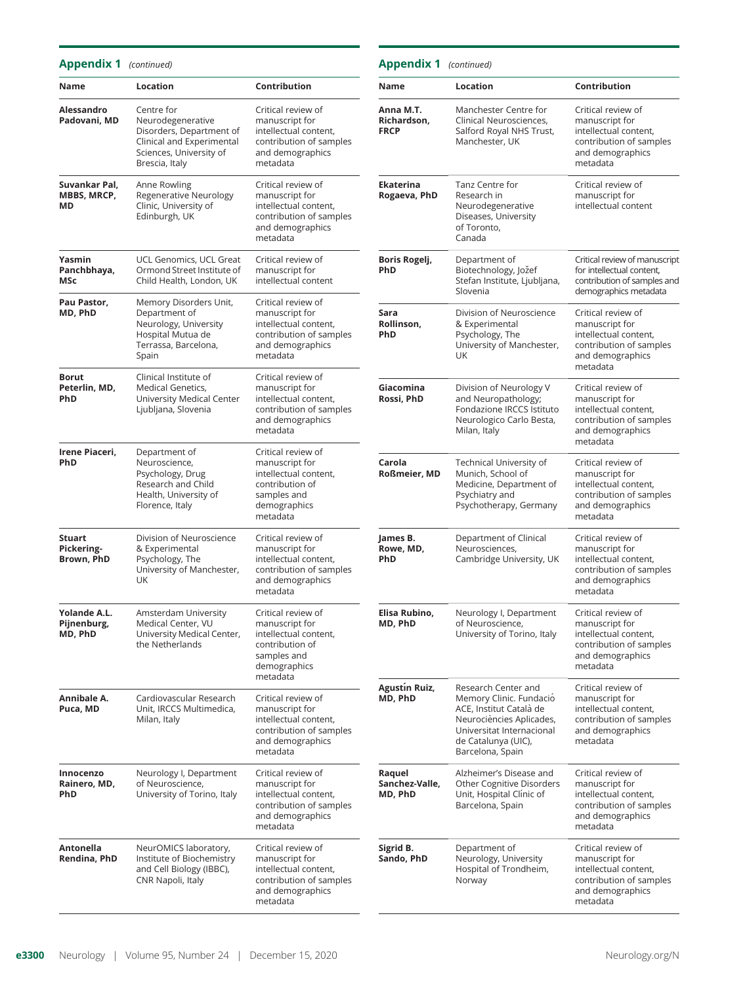### Appendix 1 (continued)

| Name                                   | Location                                                                                                                              | Contribution                                                                                                                | Name                                      |
|----------------------------------------|---------------------------------------------------------------------------------------------------------------------------------------|-----------------------------------------------------------------------------------------------------------------------------|-------------------------------------------|
| Alessandro<br>Padovani, MD             | Centre for<br>Neurodegenerative<br>Disorders, Department of<br>Clinical and Experimental<br>Sciences, University of<br>Brescia, Italy | Critical review of<br>manuscript for<br>intellectual content,<br>contribution of samples<br>and demographics<br>metadata    | Anna M.<br><b>Richards</b><br><b>FRCP</b> |
| Suvankar Pal,<br>MBBS, MRCP,<br>MD     | Anne Rowling<br>Regenerative Neurology<br>Clinic, University of<br>Edinburgh, UK                                                      | Critical review of<br>manuscript for<br>intellectual content,<br>contribution of samples<br>and demographics<br>metadata    | <b>Ekaterin</b><br>Rogaeva                |
| Yasmin<br>Panchbhaya,<br>MSc           | UCL Genomics, UCL Great<br>Ormond Street Institute of<br>Child Health, London, UK                                                     | Critical review of<br>manuscript for<br>intellectual content                                                                | <b>Boris Rog</b><br>PhD                   |
| Pau Pastor,<br>MD, PhD                 | Memory Disorders Unit,<br>Department of<br>Neurology, University<br>Hospital Mutua de<br>Terrassa, Barcelona,<br>Spain                | Critical review of<br>manuscript for<br>intellectual content,<br>contribution of samples<br>and demographics<br>metadata    | Sara<br>Rollinsor<br>PhD                  |
| Borut<br>Peterlin, MD,<br>PhD          | Clinical Institute of<br>Medical Genetics,<br>University Medical Center<br>Ljubljana, Slovenia                                        | Critical review of<br>manuscript for<br>intellectual content,<br>contribution of samples<br>and demographics<br>metadata    | Giacomiı<br>Rossi, Ph                     |
| Irene Piaceri,<br>PhD                  | Department of<br>Neuroscience,<br>Psychology, Drug<br>Research and Child<br>Health, University of<br>Florence, Italy                  | Critical review of<br>manuscript for<br>intellectual content,<br>contribution of<br>samples and<br>demographics<br>metadata | Carola<br>Roßmeie                         |
| Stuart<br>Pickering-<br>Brown, PhD     | Division of Neuroscience<br>& Experimental<br>Psychology, The<br>University of Manchester,<br>UK                                      | Critical review of<br>manuscript for<br>intellectual content,<br>contribution of samples<br>and demographics<br>metadata    | James B.<br>Rowe, M<br>PhD                |
| Yolande A.L.<br>Pijnenburg,<br>MD, PhD | Amsterdam University<br>Medical Center, VU<br>University Medical Center,<br>the Netherlands                                           | Critical review of<br>manuscript for<br>intellectual content,<br>contribution of<br>samples and<br>demographics<br>metadata | Elisa Rub<br>MD, PhD                      |
| Annibale A.<br>Puca, MD                | Cardiovascular Research<br>Unit, IRCCS Multimedica,<br>Milan, Italy                                                                   | Critical review of<br>manuscript for<br>intellectual content,<br>contribution of samples<br>and demographics<br>metadata    | Agustín I<br>MD, PhD                      |
| Innocenzo<br>Rainero, MD,<br>PhD       | Neurology I, Department<br>of Neuroscience,<br>University of Torino, Italy                                                            | Critical review of<br>manuscript for<br>intellectual content,<br>contribution of samples<br>and demographics<br>metadata    | Raquel<br>Sanchez-<br>MD, PhD             |
| Antonella<br>Rendina, PhD              | NeurOMICS laboratory,<br>Institute of Biochemistry<br>and Cell Biology (IBBC),<br>CNR Napoli, Italy                                   | Critical review of<br>manuscript for<br>intellectual content,<br>contribution of samples<br>and demographics                | Sigrid B.<br>Sando, P                     |

| <b>Appendix 1</b><br>(continued)        |                                                                                                                                                                               |                                                                                                                          |  |
|-----------------------------------------|-------------------------------------------------------------------------------------------------------------------------------------------------------------------------------|--------------------------------------------------------------------------------------------------------------------------|--|
| Name                                    | Location                                                                                                                                                                      | Contribution                                                                                                             |  |
| Anna M.T.<br>Richardson,<br><b>FRCP</b> | Manchester Centre for<br>Clinical Neurosciences,<br>Salford Royal NHS Trust,<br>Manchester, UK                                                                                | Critical review of<br>manuscript for<br>intellectual content,<br>contribution of samples<br>and demographics<br>metadata |  |
| Ekaterina<br>Rogaeva, PhD               | Tanz Centre for<br>Research in<br>Neurodegenerative<br>Diseases, University<br>of Toronto,<br>Canada                                                                          | Critical review of<br>manuscript for<br>intellectual content                                                             |  |
| Boris Rogelj,<br>PhD                    | Department of<br>Biotechnology, Jožef<br>Stefan Institute, Ljubljana,<br>Slovenia                                                                                             | Critical review of manuscript<br>for intellectual content,<br>contribution of samples and<br>demographics metadata       |  |
| Sara<br>Rollinson,<br>PhD               | Division of Neuroscience<br>& Experimental<br>Psychology, The<br>University of Manchester,<br>UK                                                                              | Critical review of<br>manuscript for<br>intellectual content,<br>contribution of samples<br>and demographics<br>metadata |  |
| Giacomina<br>Rossi, PhD                 | Division of Neurology V<br>and Neuropathology;<br>Fondazione IRCCS Istituto<br>Neurologico Carlo Besta,<br>Milan, Italy                                                       | Critical review of<br>manuscript for<br>intellectual content,<br>contribution of samples<br>and demographics<br>metadata |  |
| Carola<br>Roßmeier, MD                  | Technical University of<br>Munich, School of<br>Medicine, Department of<br>Psychiatry and<br>Psychotherapy, Germany                                                           | Critical review of<br>manuscript for<br>intellectual content,<br>contribution of samples<br>and demographics<br>metadata |  |
| James B.<br>Rowe, MD,<br>PhD            | Department of Clinical<br>Neurosciences,<br>Cambridge University, UK                                                                                                          | Critical review of<br>manuscript for<br>intellectual content,<br>contribution of samples<br>and demographics<br>metadata |  |
| Elisa Rubino,<br>MD, PhD                | Neurology I, Department<br>of Neuroscience,<br>University of Torino, Italy                                                                                                    | Critical review of<br>manuscript for<br>intellectual content,<br>contribution of samples<br>and demographics<br>metadata |  |
| Agustín Ruiz,<br>MD, PhD                | Research Center and<br>Memory Clinic. Fundació<br>ACE, Institut Català de<br>Neurociències Aplicades,<br>Universitat Internacional<br>de Catalunya (UIC),<br>Barcelona, Spain | Critical review of<br>manuscript for<br>intellectual content,<br>contribution of samples<br>and demographics<br>metadata |  |
| Raquel<br>Sanchez-Valle,<br>MD, PhD     | Alzheimer's Disease and<br>Other Cognitive Disorders<br>Unit, Hospital Clinic of<br>Barcelona, Spain                                                                          | Critical review of<br>manuscript for<br>intellectual content,<br>contribution of samples<br>and demographics<br>metadata |  |
| Sigrid B.<br>Sando, PhD                 | Department of<br>Neurology, University<br>Hospital of Trondheim,<br>Norway                                                                                                    | Critical review of<br>manuscript for<br>intellectual content,<br>contribution of samples<br>and demographics<br>metadata |  |

metadata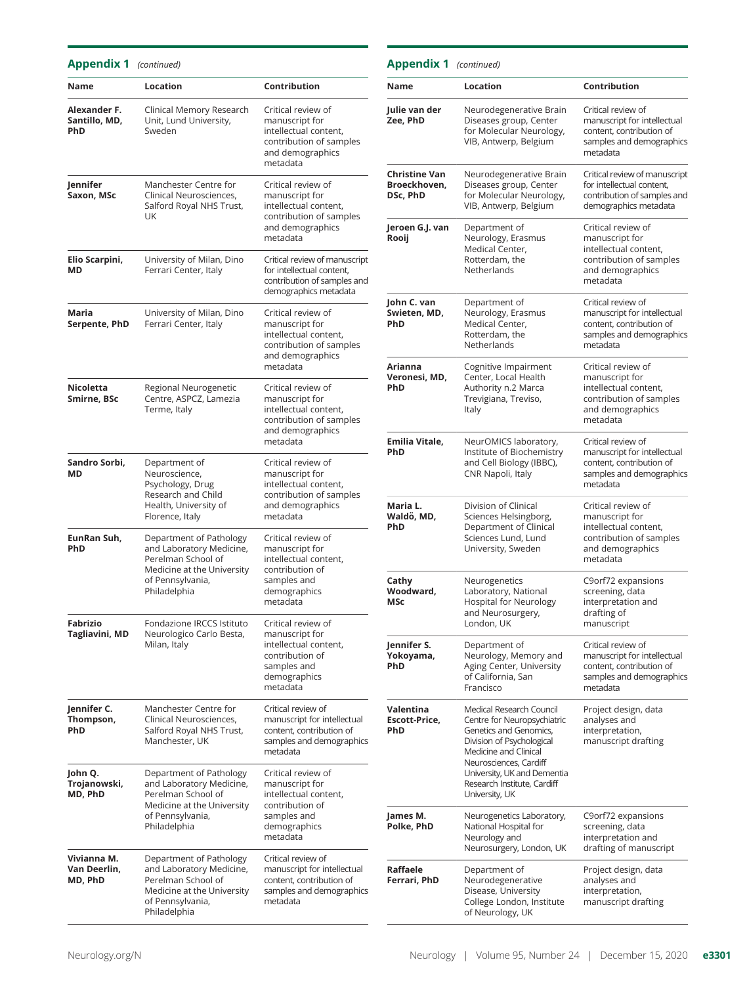| <b>Appendix 1</b> (continued)          |                                                                                                                                             |                                                                                                                             |
|----------------------------------------|---------------------------------------------------------------------------------------------------------------------------------------------|-----------------------------------------------------------------------------------------------------------------------------|
| Name                                   | Location                                                                                                                                    | Contribution                                                                                                                |
| Alexander F.<br>Santillo, MD,<br>PhD   | Clinical Memory Research<br>Unit, Lund University,<br>Sweden                                                                                | Critical review of<br>manuscript for<br>intellectual content,<br>contribution of samples<br>and demographics<br>metadata    |
| Jennifer<br>Saxon, MSc                 | Manchester Centre for<br>Clinical Neurosciences,<br>Salford Royal NHS Trust,<br>UK                                                          | Critical review of<br>manuscript for<br>intellectual content,<br>contribution of samples<br>and demographics<br>metadata    |
| Elio Scarpini,<br>MD                   | University of Milan, Dino<br>Ferrari Center, Italy                                                                                          | Critical review of manuscript<br>for intellectual content,<br>contribution of samples and<br>demographics metadata          |
| Maria<br>Serpente, PhD                 | University of Milan, Dino<br>Ferrari Center, Italy                                                                                          | Critical review of<br>manuscript for<br>intellectual content,<br>contribution of samples<br>and demographics<br>metadata    |
| Nicoletta<br>Smirne, BSc               | Regional Neurogenetic<br>Centre, ASPCZ, Lamezia<br>Terme, Italy                                                                             | Critical review of<br>manuscript for<br>intellectual content,<br>contribution of samples<br>and demographics<br>metadata    |
| Sandro Sorbi,<br>MD                    | Department of<br>Neuroscience,<br>Psychology, Drug<br>Research and Child<br>Health, University of<br>Florence, Italy                        | Critical review of<br>manuscript for<br>intellectual content,<br>contribution of samples<br>and demographics<br>metadata    |
| EunRan Suh,<br>PhD                     | Department of Pathology<br>and Laboratory Medicine,<br>Perelman School of<br>Medicine at the University<br>of Pennsylvania,<br>Philadelphia | Critical review of<br>manuscript for<br>intellectual content.<br>contribution of<br>samples and<br>demographics<br>metadata |
| Fabrizio<br>Tagliavini, MD             | Fondazione IRCCS Istituto<br>Neurologico Carlo Besta,<br>Milan, Italy                                                                       | Critical review of<br>manuscript for<br>intellectual content,<br>contribution of<br>samples and<br>demographics<br>metadata |
| Jennifer C.<br>Thompson,<br>PhD        | Manchester Centre for<br>Clinical Neurosciences,<br>Salford Royal NHS Trust,<br>Manchester, UK                                              | Critical review of<br>manuscript for intellectual<br>content, contribution of<br>samples and demographics<br>metadata       |
| John Q.<br>Trojanowski,<br>MD, PhD     | Department of Pathology<br>and Laboratory Medicine,<br>Perelman School of<br>Medicine at the University<br>of Pennsylvania,<br>Philadelphia | Critical review of<br>manuscript for<br>intellectual content,<br>contribution of<br>samples and<br>demographics<br>metadata |
| Vivianna M.<br>Van Deerlin,<br>MD, PhD | Department of Pathology<br>and Laboratory Medicine,<br>Perelman School of<br>Medicine at the University<br>of Pennsylvania,<br>Philadelphia | Critical review of<br>manuscript for intellectual<br>content, contribution of<br>samples and demographics<br>metadata       |

| <b>Appendix 1</b> (continued)             |                                                                                                                                                                                                                                                   |                                                                                                                          |
|-------------------------------------------|---------------------------------------------------------------------------------------------------------------------------------------------------------------------------------------------------------------------------------------------------|--------------------------------------------------------------------------------------------------------------------------|
| Name                                      | Location                                                                                                                                                                                                                                          | Contribution                                                                                                             |
| Julie van der<br>Zee, PhD                 | Neurodegenerative Brain<br>Diseases group, Center<br>for Molecular Neurology,<br>VIB, Antwerp, Belgium                                                                                                                                            | Critical review of<br>manuscript for intellectual<br>content, contribution of<br>samples and demographics<br>metadata    |
| Christine Van<br>Broeckhoven,<br>DSc, PhD | Neurodegenerative Brain<br>Diseases group, Center<br>for Molecular Neurology,<br>VIB, Antwerp, Belgium                                                                                                                                            | Critical review of manuscript<br>for intellectual content,<br>contribution of samples and<br>demographics metadata       |
| Jeroen G.J. van<br>Rooij                  | Department of<br>Neurology, Erasmus<br>Medical Center,<br>Rotterdam, the<br>Netherlands                                                                                                                                                           | Critical review of<br>manuscript for<br>intellectual content,<br>contribution of samples<br>and demographics<br>metadata |
| John C. van<br>Swieten, MD,<br>PhD        | Department of<br>Neurology, Erasmus<br>Medical Center,<br>Rotterdam, the<br>Netherlands                                                                                                                                                           | Critical review of<br>manuscript for intellectual<br>content, contribution of<br>samples and demographics<br>metadata    |
| Arianna<br>Veronesi, MD,<br>PhD           | Cognitive Impairment<br>Center, Local Health<br>Authority n.2 Marca<br>Trevigiana, Treviso,<br>Italy                                                                                                                                              | Critical review of<br>manuscript for<br>intellectual content,<br>contribution of samples<br>and demographics<br>metadata |
| Emilia Vitale,<br>PhD                     | NeurOMICS laboratory,<br>Institute of Biochemistry<br>and Cell Biology (IBBC),<br>CNR Napoli, Italy                                                                                                                                               | Critical review of<br>manuscript for intellectual<br>content, contribution of<br>samples and demographics<br>metadata    |
| Maria L.<br>Waldö, MD,<br>PhD             | Division of Clinical<br>Sciences Helsingborg,<br>Department of Clinical<br>Sciences Lund, Lund<br>University, Sweden                                                                                                                              | Critical review of<br>manuscript for<br>intellectual content,<br>contribution of samples<br>and demographics<br>metadata |
| Cathy<br>Woodward,<br><b>MSc</b>          | Neurogenetics<br>Laboratory, National<br><b>Hospital for Neurology</b><br>and Neurosurgery,<br>London, UK                                                                                                                                         | C9orf72 expansions<br>screening, data<br>interpretation and<br>drafting of<br>manuscript                                 |
| Jennifer S.<br>Yokoyama,<br>PhD           | Department of<br>Neurology, Memory and<br>Aging Center, University<br>of California, San<br>Francisco                                                                                                                                             | Critical review of<br>manuscript for intellectual<br>content, contribution of<br>samples and demographics<br>metadata    |
| Valentina<br><b>Escott-Price,</b><br>PhD  | Medical Research Council<br>Centre for Neuropsychiatric<br>Genetics and Genomics,<br>Division of Psychological<br>Medicine and Clinical<br>Neurosciences, Cardiff<br>University, UK and Dementia<br>Research Institute, Cardiff<br>University, UK | Project design, data<br>analyses and<br>interpretation,<br>manuscript drafting                                           |
| James M.<br>Polke, PhD                    | Neurogenetics Laboratory,<br>National Hospital for<br>Neurology and<br>Neurosurgery, London, UK                                                                                                                                                   | C9orf72 expansions<br>screening, data<br>interpretation and<br>drafting of manuscript                                    |
| Raffaele<br>Ferrari, PhD                  | Department of<br>Neurodegenerative<br>Disease, University<br>College London, Institute<br>of Neurology, UK                                                                                                                                        | Project design, data<br>analyses and<br>interpretation,<br>manuscript drafting                                           |